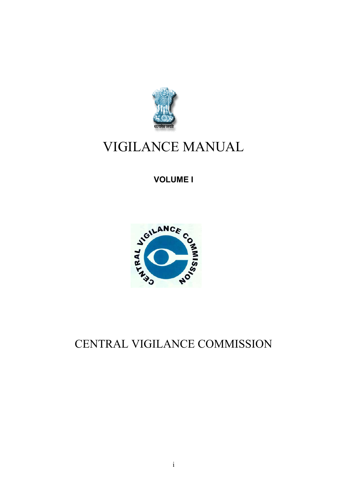

# VIGILANCE MANUAL

**VOLUME I**



# CENTRAL VIGILANCE COMMISSION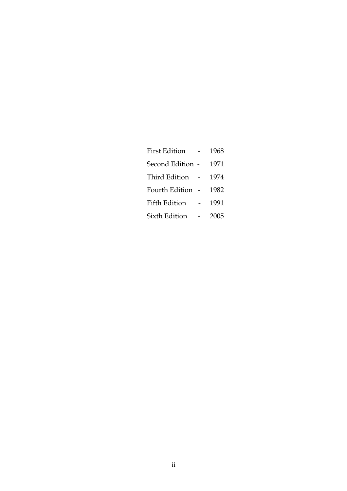| First Edition - 1968  |  |
|-----------------------|--|
| Second Edition - 1971 |  |
| Third Edition - 1974  |  |
| Fourth Edition - 1982 |  |
| Fifth Edition - 1991  |  |
| Sixth Edition - 2005  |  |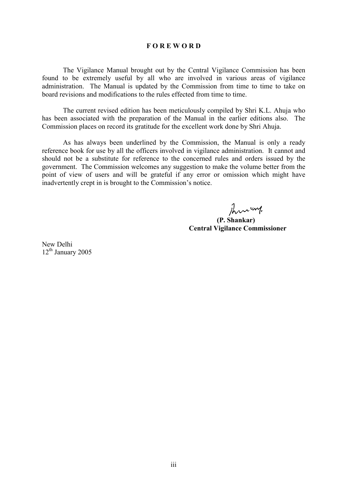#### **F O R E W O R D**

The Vigilance Manual brought out by the Central Vigilance Commission has been found to be extremely useful by all who are involved in various areas of vigilance administration. The Manual is updated by the Commission from time to time to take on board revisions and modifications to the rules effected from time to time.

The current revised edition has been meticulously compiled by Shri K.L. Ahuja who has been associated with the preparation of the Manual in the earlier editions also. The Commission places on record its gratitude for the excellent work done by Shri Ahuja.

As has always been underlined by the Commission, the Manual is only a ready reference book for use by all the officers involved in vigilance administration. It cannot and should not be a substitute for reference to the concerned rules and orders issued by the government. The Commission welcomes any suggestion to make the volume better from the point of view of users and will be grateful if any error or omission which might have inadvertently crept in is brought to the Commission's notice.

Thru ung.

 **(P. Shankar) Central Vigilance Commissioner**

New Delhi  $12<sup>th</sup>$  January 2005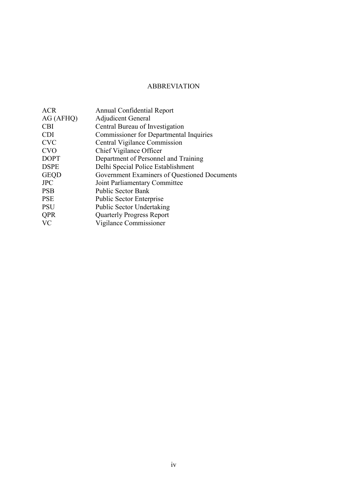# ABBREVIATION

| <b>ACR</b>  | <b>Annual Confidential Report</b>              |
|-------------|------------------------------------------------|
| AG (AFHQ)   | <b>Adjudicent General</b>                      |
| <b>CBI</b>  | Central Bureau of Investigation                |
| <b>CDI</b>  | <b>Commissioner for Departmental Inquiries</b> |
| <b>CVC</b>  | Central Vigilance Commission                   |
| <b>CVO</b>  | Chief Vigilance Officer                        |
| <b>DOPT</b> | Department of Personnel and Training           |
| <b>DSPE</b> | Delhi Special Police Establishment             |
| <b>GEQD</b> | Government Examiners of Questioned Documents   |
| <b>JPC</b>  | Joint Parliamentary Committee                  |
| <b>PSB</b>  | <b>Public Sector Bank</b>                      |
| <b>PSE</b>  | <b>Public Sector Enterprise</b>                |
| <b>PSU</b>  | <b>Public Sector Undertaking</b>               |
| <b>QPR</b>  | <b>Quarterly Progress Report</b>               |
| <b>VC</b>   | Vigilance Commissioner                         |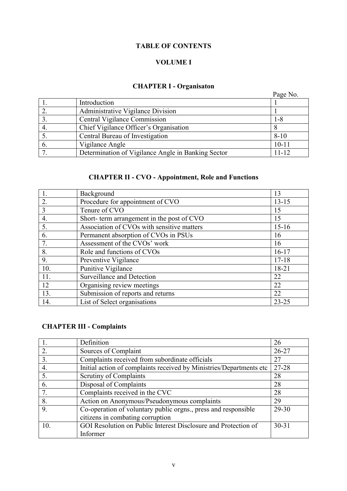# **TABLE OF CONTENTS**

# **VOLUME I**

# **CHAPTER I - Organisaton**

|    |                                                    | Page No.  |
|----|----------------------------------------------------|-----------|
|    | Introduction                                       |           |
|    | Administrative Vigilance Division                  |           |
|    | Central Vigilance Commission                       | 1-8       |
| 4. | Chief Vigilance Officer's Organisation             |           |
|    | Central Bureau of Investigation                    | $8 - 10$  |
| 6. | Vigilance Angle                                    | $10 - 11$ |
|    | Determination of Vigilance Angle in Banking Sector | 11-12     |

# **CHAPTER II - CVO - Appointment, Role and Functions**

|                | Background                                 | 13        |
|----------------|--------------------------------------------|-----------|
| 2.             | Procedure for appointment of CVO           | $13 - 15$ |
| $\overline{3}$ | Tenure of CVO                              | 15        |
| 4.             | Short-term arrangement in the post of CVO  | 15        |
| 5.             | Association of CVOs with sensitive matters | $15-16$   |
| 6.             | Permanent absorption of CVOs in PSUs       | 16        |
| 7.             | Assessment of the CVOs' work               | 16        |
| 8.             | Role and functions of CVOs                 | $16 - 17$ |
| 9.             | Preventive Vigilance                       | $17 - 18$ |
| 10.            | Punitive Vigilance                         | $18 - 21$ |
| 11.            | Surveillance and Detection                 | 22        |
| 12             | Organising review meetings                 | 22        |
| 13.            | Submission of reports and returns          | 22        |
| 14.            | List of Select organisations               | $23 - 25$ |

# **CHAPTER III - Complaints**

|     | Definition                                                          | 26        |
|-----|---------------------------------------------------------------------|-----------|
| 2.  | Sources of Complaint                                                | $26 - 27$ |
| 3.  | Complaints received from subordinate officials                      | 27        |
| 4.  | Initial action of complaints received by Ministries/Departments etc | 27-28     |
| 5.  | Scrutiny of Complaints                                              | 28        |
| 6.  | Disposal of Complaints                                              | 28        |
|     | Complaints received in the CVC                                      | 28        |
| 8.  | Action on Anonymous/Pseudonymous complaints                         | 29        |
| 9.  | Co-operation of voluntary public orgns., press and responsible      | 29-30     |
|     | citizens in combating corruption                                    |           |
| 10. | GOI Resolution on Public Interest Disclosure and Protection of      | $30 - 31$ |
|     | Informer                                                            |           |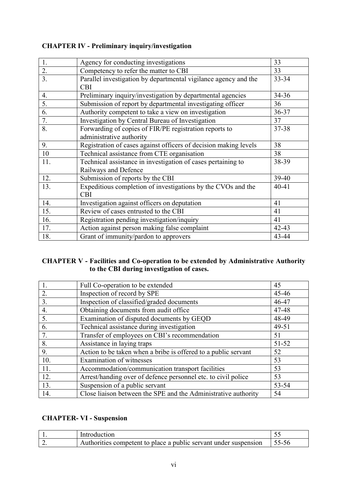| 1.               | Agency for conducting investigations                             | 33        |
|------------------|------------------------------------------------------------------|-----------|
| 2.               | Competency to refer the matter to CBI                            | 33        |
| $\overline{3}$ . | Parallel investigation by departmental vigilance agency and the  | 33-34     |
|                  | <b>CBI</b>                                                       |           |
| 4.               | Preliminary inquiry/investigation by departmental agencies       | $34 - 36$ |
| $\overline{5}$ . | Submission of report by departmental investigating officer       | 36        |
| 6.               | Authority competent to take a view on investigation              | $36 - 37$ |
| 7.               | Investigation by Central Bureau of Investigation                 | 37        |
| 8.               | Forwarding of copies of FIR/PE registration reports to           | 37-38     |
|                  | administrative authority                                         |           |
| 9.               | Registration of cases against officers of decision making levels | 38        |
| 10               | Technical assistance from CTE organisation                       | 38        |
| 11.              | Technical assistance in investigation of cases pertaining to     | 38-39     |
|                  | Railways and Defence                                             |           |
| 12.              | Submission of reports by the CBI                                 | 39-40     |
| 13.              | Expeditious completion of investigations by the CVOs and the     | $40 - 41$ |
|                  | <b>CBI</b>                                                       |           |
| 14.              | Investigation against officers on deputation                     | 41        |
| 15.              | Review of cases entrusted to the CBI                             | 41        |
| 16.              | Registration pending investigation/inquiry                       | 41        |
| 17.              | Action against person making false complaint                     | 42-43     |
| 18.              | Grant of immunity/pardon to approvers                            | 43-44     |

# **CHAPTER IV - Preliminary inquiry/investigation**

# **CHAPTER V - Facilities and Co-operation to be extended by Administrative Authority to the CBI during investigation of cases.**

| $\mathbf{1}$ . | Full Co-operation to be extended                               | 45        |
|----------------|----------------------------------------------------------------|-----------|
| 2.             | Inspection of record by SPE                                    | 45-46     |
| 3.             | Inspection of classified/graded documents                      | 46-47     |
| 4.             | Obtaining documents from audit office                          | 47-48     |
| 5.             | Examination of disputed documents by GEQD                      | 48-49     |
| 6.             | Technical assistance during investigation                      | 49-51     |
| 7.             | Transfer of employees on CBI's recommendation                  | 51        |
| 8.             | Assistance in laying traps                                     | $51 - 52$ |
| 9.             | Action to be taken when a bribe is offered to a public servant | 52        |
| 10.            | Examination of witnesses                                       | 53        |
| 11.            | Accommodation/communication transport facilities               | 53        |
| 12.            | Arrest/handing over of defence personnel etc. to civil police  | 53        |
| 13.            | Suspension of a public servant                                 | 53-54     |
| 14.            | Close liaison between the SPE and the Administrative authority | 54        |

# **CHAPTER- VI - Suspension**

| iction<br>Introduct                                              | ت ب |
|------------------------------------------------------------------|-----|
| Authorities competent to place a public servant under suspension |     |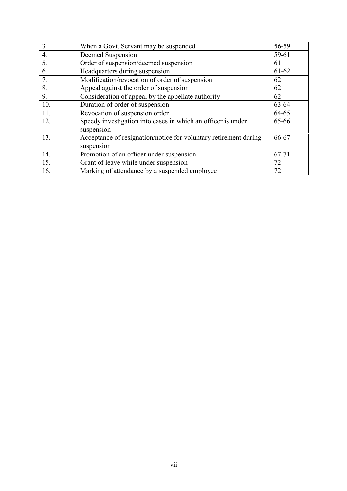| 3.  | When a Govt. Servant may be suspended                                          | 56-59     |
|-----|--------------------------------------------------------------------------------|-----------|
| 4.  | Deemed Suspension                                                              | 59-61     |
| 5.  | Order of suspension/deemed suspension                                          | 61        |
| 6.  | Headquarters during suspension                                                 | $61 - 62$ |
| 7.  | Modification/revocation of order of suspension                                 | 62        |
| 8.  | Appeal against the order of suspension                                         | 62        |
| 9.  | Consideration of appeal by the appellate authority                             | 62        |
| 10. | Duration of order of suspension                                                | 63-64     |
| 11. | Revocation of suspension order                                                 | 64-65     |
| 12. | Speedy investigation into cases in which an officer is under<br>suspension     | 65-66     |
| 13. | Acceptance of resignation/notice for voluntary retirement during<br>suspension | 66-67     |
| 14. | Promotion of an officer under suspension                                       | 67-71     |
| 15. | Grant of leave while under suspension                                          | 72        |
| 16. | Marking of attendance by a suspended employee                                  | 72        |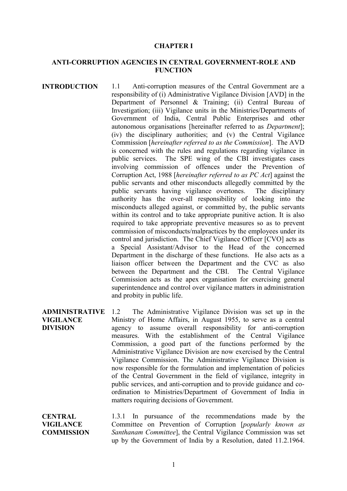#### **CHAPTER I**

### **ANTI-CORRUPTION AGENCIES IN CENTRAL GOVERNMENT-ROLE AND FUNCTION**

- **INTRODUCTION** 1.1 Anti-corruption measures of the Central Government are a responsibility of (i) Administrative Vigilance Division [AVD] in the Department of Personnel & Training; (ii) Central Bureau of Investigation; (iii) Vigilance units in the Ministries/Departments of Government of India, Central Public Enterprises and other autonomous organisations [hereinafter referred to as *Department*]; (iv) the disciplinary authorities; and (v) the Central Vigilance Commission [*hereinafter referred to as the Commission*]. The AVD is concerned with the rules and regulations regarding vigilance in public services. The SPE wing of the CBI investigates cases involving commission of offences under the Prevention of Corruption Act, 1988 [*hereinafter referred to as PC Act*] against the public servants and other misconducts allegedly committed by the public servants having vigilance overtones. The disciplinary authority has the over-all responsibility of looking into the misconducts alleged against, or committed by, the public servants within its control and to take appropriate punitive action. It is also required to take appropriate preventive measures so as to prevent commission of misconducts/malpractices by the employees under its control and jurisdiction. The Chief Vigilance Officer [CVO] acts as a Special Assistant/Advisor to the Head of the concerned Department in the discharge of these functions. He also acts as a liaison officer between the Department and the CVC as also between the Department and the CBI. The Central Vigilance Commission acts as the apex organisation for exercising general superintendence and control over vigilance matters in administration and probity in public life.
- **ADMINISTRATIVE VIGILANCE DIVISION** 1.2 The Administrative Vigilance Division was set up in the Ministry of Home Affairs, in August 1955, to serve as a central agency to assume overall responsibility for anti-corruption measures. With the establishment of the Central Vigilance Commission, a good part of the functions performed by the Administrative Vigilance Division are now exercised by the Central Vigilance Commission. The Administrative Vigilance Division is now responsible for the formulation and implementation of policies of the Central Government in the field of vigilance, integrity in public services, and anti-corruption and to provide guidance and coordination to Ministries/Department of Government of India in matters requiring decisions of Government.

**CENTRAL VIGILANCE COMMISSION** 1.3.1 In pursuance of the recommendations made by the Committee on Prevention of Corruption [*popularly known as Santhanam Committee*], the Central Vigilance Commission was set up by the Government of India by a Resolution, dated 11.2.1964.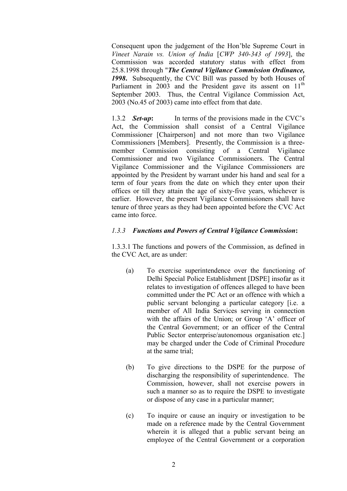Consequent upon the judgement of the Hon'ble Supreme Court in *Vineet Narain vs. Union of India* [*CWP 340-343 of 1993*], the Commission was accorded statutory status with effect from 25.8.1998 through "*The Central Vigilance Commission Ordinance, 1998***.** Subsequently, the CVC Bill was passed by both Houses of Parliament in 2003 and the President gave its assent on  $11<sup>th</sup>$ September 2003. Thus, the Central Vigilance Commission Act, 2003 (No.45 of 2003) came into effect from that date.

1.3.2 *Set-up*: In terms of the provisions made in the CVC's Act, the Commission shall consist of a Central Vigilance Commissioner [Chairperson] and not more than two Vigilance Commissioners [Members]. Presently, the Commission is a threemember Commission consisting of a Central Vigilance Commissioner and two Vigilance Commissioners. The Central Vigilance Commissioner and the Vigilance Commissioners are appointed by the President by warrant under his hand and seal for a term of four years from the date on which they enter upon their offices or till they attain the age of sixty-five years, whichever is earlier. However, the present Vigilance Commissioners shall have tenure of three years as they had been appointed before the CVC Act came into force.

# *1.3.3 Functions and Powers of Central Vigilance Commission***:**

1.3.3.1 The functions and powers of the Commission, as defined in the CVC Act, are as under:

- (a) To exercise superintendence over the functioning of Delhi Special Police Establishment [DSPE] insofar as it relates to investigation of offences alleged to have been committed under the PC Act or an offence with which a public servant belonging a particular category [i.e. a member of All India Services serving in connection with the affairs of the Union; or Group 'A' officer of the Central Government; or an officer of the Central Public Sector enterprise/autonomous organisation etc.] may be charged under the Code of Criminal Procedure at the same trial;
- (b) To give directions to the DSPE for the purpose of discharging the responsibility of superintendence. The Commission, however, shall not exercise powers in such a manner so as to require the DSPE to investigate or dispose of any case in a particular manner;
- (c) To inquire or cause an inquiry or investigation to be made on a reference made by the Central Government wherein it is alleged that a public servant being an employee of the Central Government or a corporation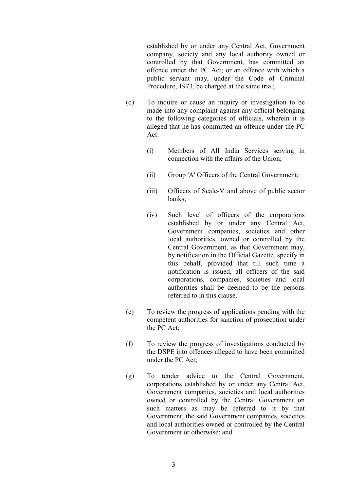established by or under any Central Act, Government company, society and any local authority owned or controlled by that Government, has committed an offence under the PC Act; or an offence with which a public servant may, under the Code of Criminal Procedure, 1973, be charged at the same trial;

- (d) To inquire or cause an inquiry or investigation to be made into any complaint against any official belonging to the following categories of officials, wherein it is alleged that he has committed an offence under the PC Act:
	- (i) Members of All India Services serving in connection with the affairs of the Union;
	- (ii) Group 'A' Officers of the Central Government;
	- (iii) Officers of Scale-V and above of public sector banks;
	- (iv) Such level of officers of the corporations established by or under any Central Act, Government companies, societies and other local authorities, owned or controlled by the Central Government, as that Government may, by notification in the Official Gazette, specify in this behalf, provided that till such time a notification is issued, all officers of the said corporations, companies, societies and local authorities shall be deemed to be the persons referred to in this clause.
- (e) To review the progress of applications pending with the competent authorities for sanction of prosecution under the PC Act;
- (f) To review the progress of investigations conducted by the DSPE into offences alleged to have been committed under the PC Act;
- (g) To tender advice to the Central Government, corporations established by or under any Central Act, Government companies, societies and local authorities owned or controlled by the Central Government on such matters as may be referred to it by that Government, the said Government companies, societies and local authorities owned or controlled by the Central Government or otherwise; and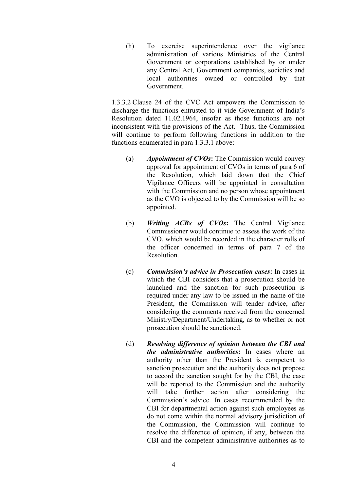(h) To exercise superintendence over the vigilance administration of various Ministries of the Central Government or corporations established by or under any Central Act, Government companies, societies and local authorities owned or controlled by that Government.

1.3.3.2 Clause 24 of the CVC Act empowers the Commission to discharge the functions entrusted to it vide Government of India's Resolution dated 11.02.1964, insofar as those functions are not inconsistent with the provisions of the Act. Thus, the Commission will continue to perform following functions in addition to the functions enumerated in para 1.3.3.1 above:

- (a) *Appointment of CVOs***:** The Commission would convey approval for appointment of CVOs in terms of para 6 of the Resolution, which laid down that the Chief Vigilance Officers will be appointed in consultation with the Commission and no person whose appointment as the CVO is objected to by the Commission will be so appointed.
- (b) *Writing ACRs of CVOs***:** The Central Vigilance Commissioner would continue to assess the work of the CVO, which would be recorded in the character rolls of the officer concerned in terms of para 7 of the Resolution.
- (c) *Commission's advice in Prosecution cases***:** In cases in which the CBI considers that a prosecution should be launched and the sanction for such prosecution is required under any law to be issued in the name of the President, the Commission will tender advice, after considering the comments received from the concerned Ministry/Department/Undertaking, as to whether or not prosecution should be sanctioned.
- (d) *Resolving difference of opinion between the CBI and the administrative authorities***:** In cases where an authority other than the President is competent to sanction prosecution and the authority does not propose to accord the sanction sought for by the CBI, the case will be reported to the Commission and the authority will take further action after considering the Commission's advice. In cases recommended by the CBI for departmental action against such employees as do not come within the normal advisory jurisdiction of the Commission, the Commission will continue to resolve the difference of opinion, if any, between the CBI and the competent administrative authorities as to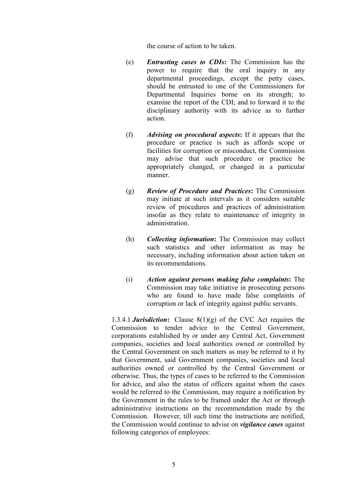the course of action to be taken.

- (e) *Entrusting cases to CDIs***:** The Commission has the power to require that the oral inquiry in any departmental proceedings, except the petty cases, should be entrusted to one of the Commissioners for Departmental Inquiries borne on its strength; to examine the report of the CDI; and to forward it to the disciplinary authority with its advice as to further action.
- (f) *Advising on procedural aspects***:** If it appears that the procedure or practice is such as affords scope or facilities for corruption or misconduct, the Commission may advise that such procedure or practice be appropriately changed, or changed in a particular manner.
- (g) *Review of Procedure and Practices***:** The Commission may initiate at such intervals as it considers suitable review of procedures and practices of administration insofar as they relate to maintenance of integrity in administration.
- (h) *Collecting information***:** The Commission may collect such statistics and other information as may be necessary, including information about action taken on its recommendations.
- (i) *Action against persons making false complaints***:** The Commission may take initiative in prosecuting persons who are found to have made false complaints of corruption or lack of integrity against public servants.

1.3.4.1 *Jurisdiction***:** Clause 8(1)(g) of the CVC Act requires the Commission to tender advice to the Central Government, corporations established by or under any Central Act, Government companies, societies and local authorities owned or controlled by the Central Government on such matters as may be referred to it by that Government, said Government companies, societies and local authorities owned or controlled by the Central Government or otherwise. Thus, the types of cases to be referred to the Commission for advice, and also the status of officers against whom the cases would be referred to the Commission, may require a notification by the Government in the rules to be framed under the Act or through administrative instructions on the recommendation made by the Commission. However, till such time the instructions are notified, the Commission would continue to advise on *vigilance cases* against following categories of employees: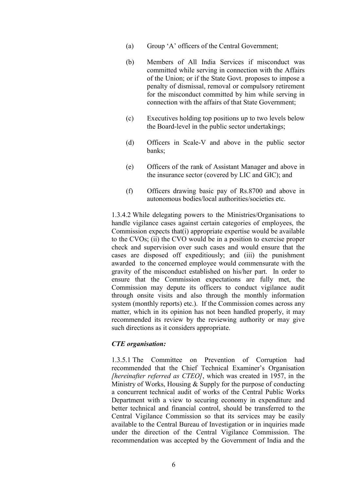- (a) Group 'A' officers of the Central Government;
- (b) Members of All India Services if misconduct was committed while serving in connection with the Affairs of the Union; or if the State Govt. proposes to impose a penalty of dismissal, removal or compulsory retirement for the misconduct committed by him while serving in connection with the affairs of that State Government;
- (c) Executives holding top positions up to two levels below the Board-level in the public sector undertakings;
- (d) Officers in Scale-V and above in the public sector banks;
- (e) Officers of the rank of Assistant Manager and above in the insurance sector (covered by LIC and GIC); and
- (f) Officers drawing basic pay of Rs.8700 and above in autonomous bodies/local authorities/societies etc.

1.3.4.2 While delegating powers to the Ministries/Organisations to handle vigilance cases against certain categories of employees, the Commission expects that(i) appropriate expertise would be available to the CVOs; (ii) the CVO would be in a position to exercise proper check and supervision over such cases and would ensure that the cases are disposed off expeditiously; and (iii) the punishment awarded to the concerned employee would commensurate with the gravity of the misconduct established on his/her part. In order to ensure that the Commission expectations are fully met, the Commission may depute its officers to conduct vigilance audit through onsite visits and also through the monthly information system (monthly reports) etc.). If the Commission comes across any matter, which in its opinion has not been handled properly, it may recommended its review by the reviewing authority or may give such directions as it considers appropriate.

#### *CTE organisation:*

1.3.5.1 The Committee on Prevention of Corruption had recommended that the Chief Technical Examiner's Organisation *[hereinafter referred as CTEO]*, which was created in 1957, in the Ministry of Works, Housing & Supply for the purpose of conducting a concurrent technical audit of works of the Central Public Works Department with a view to securing economy in expenditure and better technical and financial control, should be transferred to the Central Vigilance Commission so that its services may be easily available to the Central Bureau of Investigation or in inquiries made under the direction of the Central Vigilance Commission. The recommendation was accepted by the Government of India and the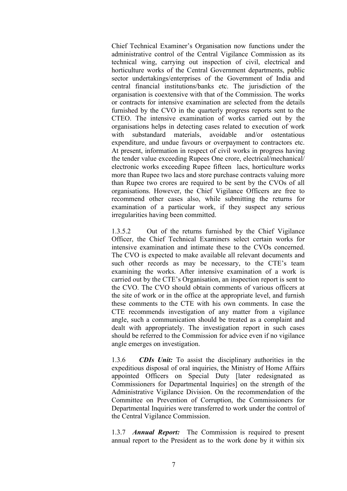Chief Technical Examiner's Organisation now functions under the administrative control of the Central Vigilance Commission as its technical wing, carrying out inspection of civil, electrical and horticulture works of the Central Government departments, public sector undertakings/enterprises of the Government of India and central financial institutions/banks etc. The jurisdiction of the organisation is coextensive with that of the Commission. The works or contracts for intensive examination are selected from the details furnished by the CVO in the quarterly progress reports sent to the CTEO. The intensive examination of works carried out by the organisations helps in detecting cases related to execution of work with substandard materials, avoidable and/or ostentatious expenditure, and undue favours or overpayment to contractors etc. At present, information in respect of civil works in progress having the tender value exceeding Rupees One crore, electrical/mechanical/ electronic works exceeding Rupee fifteen lacs, horticulture works more than Rupee two lacs and store purchase contracts valuing more than Rupee two crores are required to be sent by the CVOs of all organisations. However, the Chief Vigilance Officers are free to recommend other cases also, while submitting the returns for examination of a particular work, if they suspect any serious irregularities having been committed.

1.3.5.2 Out of the returns furnished by the Chief Vigilance Officer, the Chief Technical Examiners select certain works for intensive examination and intimate these to the CVOs concerned. The CVO is expected to make available all relevant documents and such other records as may be necessary, to the CTE's team examining the works. After intensive examination of a work is carried out by the CTE's Organisation, an inspection report is sent to the CVO. The CVO should obtain comments of various officers at the site of work or in the office at the appropriate level, and furnish these comments to the CTE with his own comments. In case the CTE recommends investigation of any matter from a vigilance angle, such a communication should be treated as a complaint and dealt with appropriately. The investigation report in such cases should be referred to the Commission for advice even if no vigilance angle emerges on investigation.

1.3.6 *CDIs Unit:* To assist the disciplinary authorities in the expeditious disposal of oral inquiries, the Ministry of Home Affairs appointed Officers on Special Duty [later redesignated as Commissioners for Departmental Inquiries] on the strength of the Administrative Vigilance Division. On the recommendation of the Committee on Prevention of Corruption, the Commissioners for Departmental Inquiries were transferred to work under the control of the Central Vigilance Commission.

1.3.7 *Annual Report:* The Commission is required to present annual report to the President as to the work done by it within six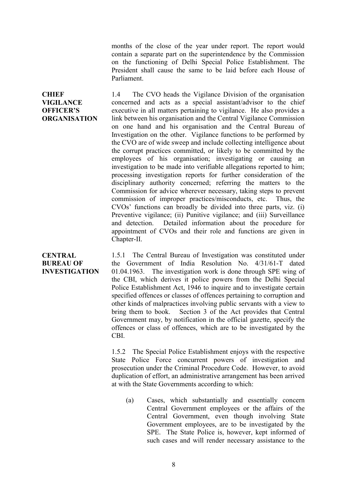months of the close of the year under report. The report would contain a separate part on the superintendence by the Commission on the functioning of Delhi Special Police Establishment. The President shall cause the same to be laid before each House of Parliament.

**CHIEF VIGILANCE OFFICER'S ORGANISATION** 1.4 The CVO heads the Vigilance Division of the organisation concerned and acts as a special assistant/advisor to the chief executive in all matters pertaining to vigilance. He also provides a link between his organisation and the Central Vigilance Commission on one hand and his organisation and the Central Bureau of Investigation on the other. Vigilance functions to be performed by the CVO are of wide sweep and include collecting intelligence about the corrupt practices committed, or likely to be committed by the employees of his organisation; investigating or causing an investigation to be made into verifiable allegations reported to him; processing investigation reports for further consideration of the disciplinary authority concerned; referring the matters to the Commission for advice wherever necessary, taking steps to prevent commission of improper practices/misconducts, etc. Thus, the CVOs' functions can broadly be divided into three parts, viz. (i) Preventive vigilance; (ii) Punitive vigilance; and (iii) Surveillance and detection. Detailed information about the procedure for appointment of CVOs and their role and functions are given in Chapter-II.

## **CENTRAL BUREAU OF INVESTIGATION**

1.5.1 The Central Bureau of Investigation was constituted under the Government of India Resolution No. 4/31/61-T dated 01.04.1963. The investigation work is done through SPE wing of the CBI, which derives it police powers from the Delhi Special Police Establishment Act, 1946 to inquire and to investigate certain specified offences or classes of offences pertaining to corruption and other kinds of malpractices involving public servants with a view to bring them to book. Section 3 of the Act provides that Central Government may, by notification in the official gazette, specify the offences or class of offences, which are to be investigated by the CBI.

1.5.2 The Special Police Establishment enjoys with the respective State Police Force concurrent powers of investigation and prosecution under the Criminal Procedure Code. However, to avoid duplication of effort, an administrative arrangement has been arrived at with the State Governments according to which:

(a) Cases, which substantially and essentially concern Central Government employees or the affairs of the Central Government, even though involving State Government employees, are to be investigated by the SPE. The State Police is, however, kept informed of such cases and will render necessary assistance to the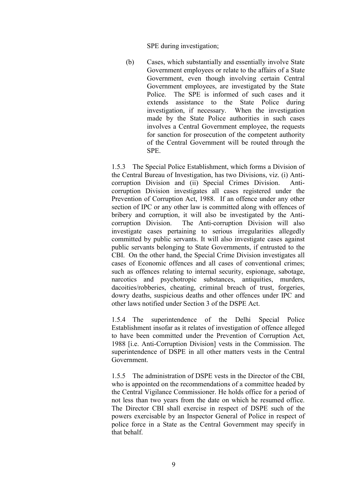SPE during investigation;

(b) Cases, which substantially and essentially involve State Government employees or relate to the affairs of a State Government, even though involving certain Central Government employees, are investigated by the State Police. The SPE is informed of such cases and it extends assistance to the State Police during investigation, if necessary. When the investigation made by the State Police authorities in such cases involves a Central Government employee, the requests for sanction for prosecution of the competent authority of the Central Government will be routed through the SPE.

1.5.3 The Special Police Establishment, which forms a Division of the Central Bureau of Investigation, has two Divisions, viz. (i) Anticorruption Division and (ii) Special Crimes Division. Anticorruption Division investigates all cases registered under the Prevention of Corruption Act, 1988. If an offence under any other section of IPC or any other law is committed along with offences of bribery and corruption, it will also be investigated by the Anticorruption Division. The Anti-corruption Division will also investigate cases pertaining to serious irregularities allegedly committed by public servants. It will also investigate cases against public servants belonging to State Governments, if entrusted to the CBI. On the other hand, the Special Crime Division investigates all cases of Economic offences and all cases of conventional crimes; such as offences relating to internal security, espionage, sabotage, narcotics and psychotropic substances, antiquities, murders, dacoities/robberies, cheating, criminal breach of trust, forgeries, dowry deaths, suspicious deaths and other offences under IPC and other laws notified under Section 3 of the DSPE Act.

1.5.4 The superintendence of the Delhi Special Police Establishment insofar as it relates of investigation of offence alleged to have been committed under the Prevention of Corruption Act, 1988 [i.e. Anti-Corruption Division] vests in the Commission. The superintendence of DSPE in all other matters vests in the Central Government.

1.5.5 The administration of DSPE vests in the Director of the CBI, who is appointed on the recommendations of a committee headed by the Central Vigilance Commissioner. He holds office for a period of not less than two years from the date on which he resumed office. The Director CBI shall exercise in respect of DSPE such of the powers exercisable by an Inspector General of Police in respect of police force in a State as the Central Government may specify in that behalf.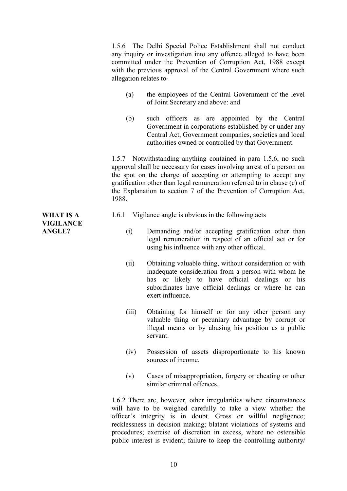1.5.6 The Delhi Special Police Establishment shall not conduct any inquiry or investigation into any offence alleged to have been committed under the Prevention of Corruption Act, 1988 except with the previous approval of the Central Government where such allegation relates to-

- (a) the employees of the Central Government of the level of Joint Secretary and above: and
- (b) such officers as are appointed by the Central Government in corporations established by or under any Central Act, Government companies, societies and local authorities owned or controlled by that Government.

1.5.7 Notwithstanding anything contained in para 1.5.6, no such approval shall be necessary for cases involving arrest of a person on the spot on the charge of accepting or attempting to accept any gratification other than legal remuneration referred to in clause (c) of the Explanation to section 7 of the Prevention of Corruption Act, 1988.

- 1.6.1 Vigilance angle is obvious in the following acts
	- (i) Demanding and/or accepting gratification other than legal remuneration in respect of an official act or for using his influence with any other official.
	- (ii) Obtaining valuable thing, without consideration or with inadequate consideration from a person with whom he has or likely to have official dealings or his subordinates have official dealings or where he can exert influence.
	- (iii) Obtaining for himself or for any other person any valuable thing or pecuniary advantage by corrupt or illegal means or by abusing his position as a public servant.
	- (iv) Possession of assets disproportionate to his known sources of income.
	- (v) Cases of misappropriation, forgery or cheating or other similar criminal offences.

1.6.2 There are, however, other irregularities where circumstances will have to be weighed carefully to take a view whether the officer's integrity is in doubt. Gross or willful negligence; recklessness in decision making; blatant violations of systems and procedures; exercise of discretion in excess, where no ostensible public interest is evident; failure to keep the controlling authority/

**WHAT IS A VIGILANCE ANGLE?**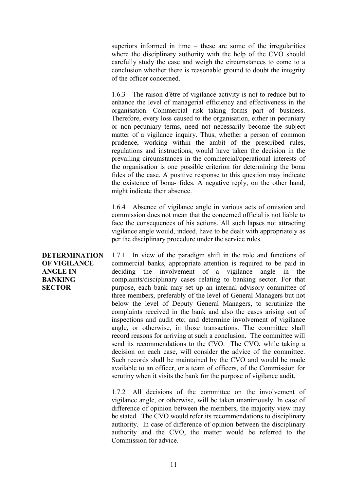superiors informed in time – these are some of the irregularities where the disciplinary authority with the help of the CVO should carefully study the case and weigh the circumstances to come to a conclusion whether there is reasonable ground to doubt the integrity of the officer concerned.

1.6.3 The raison d'être of vigilance activity is not to reduce but to enhance the level of managerial efficiency and effectiveness in the organisation. Commercial risk taking forms part of business. Therefore, every loss caused to the organisation, either in pecuniary or non-pecuniary terms, need not necessarily become the subject matter of a vigilance inquiry. Thus, whether a person of common prudence, working within the ambit of the prescribed rules, regulations and instructions, would have taken the decision in the prevailing circumstances in the commercial/operational interests of the organisation is one possible criterion for determining the bona fides of the case. A positive response to this question may indicate the existence of bona- fides. A negative reply, on the other hand, might indicate their absence.

1.6.4 Absence of vigilance angle in various acts of omission and commission does not mean that the concerned official is not liable to face the consequences of his actions. All such lapses not attracting vigilance angle would, indeed, have to be dealt with appropriately as per the disciplinary procedure under the service rules.

**DETERMINATION OF VIGILANCE ANGLE IN BANKING SECTOR** 1.7.1 In view of the paradigm shift in the role and functions of commercial banks, appropriate attention is required to be paid in deciding the involvement of a vigilance angle in the complaints/disciplinary cases relating to banking sector. For that purpose, each bank may set up an internal advisory committee of three members, preferably of the level of General Managers but not below the level of Deputy General Managers, to scrutinize the complaints received in the bank and also the cases arising out of inspections and audit etc; and determine involvement of vigilance angle, or otherwise, in those transactions. The committee shall record reasons for arriving at such a conclusion. The committee will send its recommendations to the CVO. The CVO, while taking a decision on each case, will consider the advice of the committee. Such records shall be maintained by the CVO and would be made available to an officer, or a team of officers, of the Commission for scrutiny when it visits the bank for the purpose of vigilance audit.

> 1.7.2 All decisions of the committee on the involvement of vigilance angle, or otherwise, will be taken unanimously. In case of difference of opinion between the members, the majority view may be stated. The CVO would refer its recommendations to disciplinary authority. In case of difference of opinion between the disciplinary authority and the CVO, the matter would be referred to the Commission for advice.

11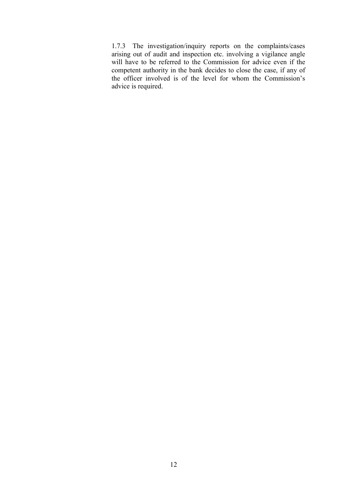1.7.3 The investigation/inquiry reports on the complaints/cases arising out of audit and inspection etc. involving a vigilance angle will have to be referred to the Commission for advice even if the competent authority in the bank decides to close the case, if any of the officer involved is of the level for whom the Commission's advice is required.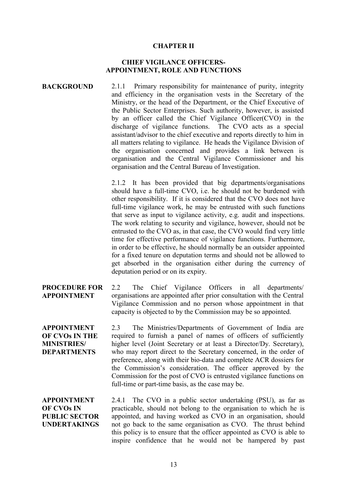#### **CHAPTER II**

## **CHIEF VIGILANCE OFFICERS-APPOINTMENT, ROLE AND FUNCTIONS**

#### **BACKGROUND** 2.1.1 Primary responsibility for maintenance of purity, integrity and efficiency in the organisation vests in the Secretary of the Ministry, or the head of the Department, or the Chief Executive of the Public Sector Enterprises. Such authority, however, is assisted by an officer called the Chief Vigilance Officer(CVO) in the discharge of vigilance functions. The CVO acts as a special assistant/advisor to the chief executive and reports directly to him in all matters relating to vigilance. He heads the Vigilance Division of the organisation concerned and provides a link between is organisation and the Central Vigilance Commissioner and his organisation and the Central Bureau of Investigation.

2.1.2 It has been provided that big departments/organisations should have a full-time CVO, i.e. he should not be burdened with other responsibility. If it is considered that the CVO does not have full-time vigilance work, he may be entrusted with such functions that serve as input to vigilance activity, e.g. audit and inspections. The work relating to security and vigilance, however, should not be entrusted to the CVO as, in that case, the CVO would find very little time for effective performance of vigilance functions. Furthermore, in order to be effective, he should normally be an outsider appointed for a fixed tenure on deputation terms and should not be allowed to get absorbed in the organisation either during the currency of deputation period or on its expiry.

#### **PROCEDURE FOR APPOINTMENT** 2.2 The Chief Vigilance Officers in all departments/ organisations are appointed after prior consultation with the Central Vigilance Commission and no person whose appointment in that capacity is objected to by the Commission may be so appointed.

**APPOINTMENT OF CVOs IN THE MINISTRIES/ DEPARTMENTS**

2.3 The Ministries/Departments of Government of India are required to furnish a panel of names of officers of sufficiently higher level (Joint Secretary or at least a Director/Dy. Secretary), who may report direct to the Secretary concerned, in the order of preference, along with their bio-data and complete ACR dossiers for the Commission's consideration. The officer approved by the Commission for the post of CVO is entrusted vigilance functions on full-time or part-time basis, as the case may be.

**APPOINTMENT OF CVOs IN PUBLIC SECTOR UNDERTAKINGS**

2.4.1 The CVO in a public sector undertaking (PSU), as far as practicable, should not belong to the organisation to which he is appointed, and having worked as CVO in an organisation, should not go back to the same organisation as CVO. The thrust behind this policy is to ensure that the officer appointed as CVO is able to inspire confidence that he would not be hampered by past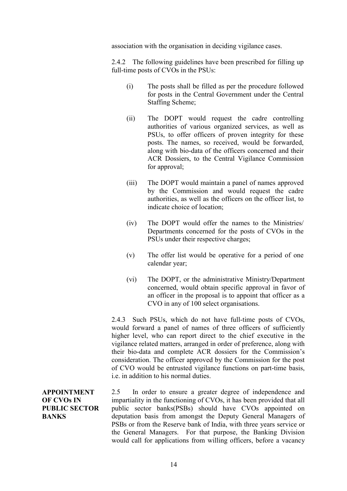association with the organisation in deciding vigilance cases.

2.4.2 The following guidelines have been prescribed for filling up full-time posts of CVOs in the PSUs:

- (i) The posts shall be filled as per the procedure followed for posts in the Central Government under the Central Staffing Scheme;
- (ii) The DOPT would request the cadre controlling authorities of various organized services, as well as PSUs, to offer officers of proven integrity for these posts. The names, so received, would be forwarded, along with bio-data of the officers concerned and their ACR Dossiers, to the Central Vigilance Commission for approval;
- (iii) The DOPT would maintain a panel of names approved by the Commission and would request the cadre authorities, as well as the officers on the officer list, to indicate choice of location;
- (iv) The DOPT would offer the names to the Ministries/ Departments concerned for the posts of CVOs in the PSUs under their respective charges;
- (v) The offer list would be operative for a period of one calendar year;
- (vi) The DOPT, or the administrative Ministry/Department concerned, would obtain specific approval in favor of an officer in the proposal is to appoint that officer as a CVO in any of 100 select organisations.

2.4.3 Such PSUs, which do not have full-time posts of CVOs, would forward a panel of names of three officers of sufficiently higher level, who can report direct to the chief executive in the vigilance related matters, arranged in order of preference, along with their bio-data and complete ACR dossiers for the Commission's consideration. The officer approved by the Commission for the post of CVO would be entrusted vigilance functions on part-time basis, i.e. in addition to his normal duties.

**APPOINTMENT OF CVOs IN PUBLIC SECTOR BANKS** 2.5 In order to ensure a greater degree of independence and impartiality in the functioning of CVOs, it has been provided that all public sector banks(PSBs) should have CVOs appointed on deputation basis from amongst the Deputy General Managers of PSBs or from the Reserve bank of India, with three years service or the General Managers. For that purpose, the Banking Division would call for applications from willing officers, before a vacancy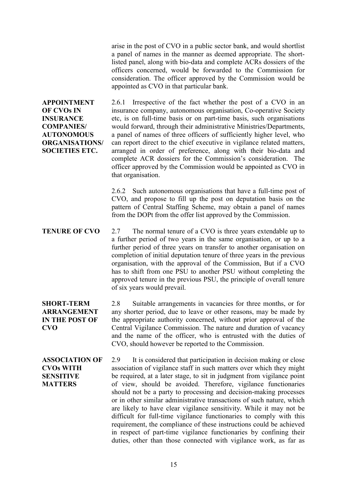arise in the post of CVO in a public sector bank, and would shortlist a panel of names in the manner as deemed appropriate. The shortlisted panel, along with bio-data and complete ACRs dossiers of the officers concerned, would be forwarded to the Commission for consideration. The officer approved by the Commission would be appointed as CVO in that particular bank.

**APPOINTMENT OF CVOs IN INSURANCE COMPANIES/ AUTONOMOUS ORGANISATIONS/ SOCIETIES ETC.**

2.6.1 Irrespective of the fact whether the post of a CVO in an insurance company, autonomous organisation, Co-operative Society etc, is on full-time basis or on part-time basis, such organisations would forward, through their administrative Ministries/Departments, a panel of names of three officers of sufficiently higher level, who can report direct to the chief executive in vigilance related matters, arranged in order of preference, along with their bio-data and complete ACR dossiers for the Commission's consideration. The officer approved by the Commission would be appointed as CVO in that organisation.

2.6.2 Such autonomous organisations that have a full-time post of CVO, and propose to fill up the post on deputation basis on the pattern of Central Staffing Scheme, may obtain a panel of names from the DOPt from the offer list approved by the Commission.

**TENURE OF CVO** 2.7 The normal tenure of a CVO is three years extendable up to a further period of two years in the same organisation, or up to a further period of three years on transfer to another organisation on completion of initial deputation tenure of three years in the previous organisation, with the approval of the Commission, But if a CVO has to shift from one PSU to another PSU without completing the approved tenure in the previous PSU, the principle of overall tenure of six years would prevail.

**SHORT-TERM ARRANGEMENT IN THE POST OF CVO**

2.8 Suitable arrangements in vacancies for three months, or for any shorter period, due to leave or other reasons, may be made by the appropriate authority concerned, without prior approval of the Central Vigilance Commission. The nature and duration of vacancy and the name of the officer, who is entrusted with the duties of CVO, should however be reported to the Commission.

**ASSOCIATION OF CVOs WITH SENSITIVE MATTERS** 2.9 It is considered that participation in decision making or close association of vigilance staff in such matters over which they might be required, at a later stage, to sit in judgment from vigilance point of view, should be avoided. Therefore, vigilance functionaries should not be a party to processing and decision-making processes or in other similar administrative transactions of such nature, which are likely to have clear vigilance sensitivity. While it may not be difficult for full-time vigilance functionaries to comply with this requirement, the compliance of these instructions could be achieved in respect of part-time vigilance functionaries by confining their duties, other than those connected with vigilance work, as far as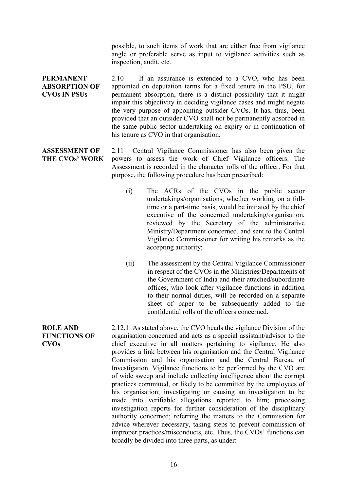possible, to such items of work that are either free from vigilance angle or preferable serve as input to vigilance activities such as inspection, audit, etc.

- **PERMANENT ABSORPTION OF CVOs IN PSUs** 2.10 If an assurance is extended to a CVO, who has been appointed on deputation terms for a fixed tenure in the PSU, for permanent absorption, there is a distinct possibility that it might impair this objectivity in deciding vigilance cases and might negate the very purpose of appointing outsider CVOs. It has, thus, been provided that an outsider CVO shall not be permanently absorbed in the same public sector undertaking on expiry or in continuation of his tenure as CVO in that organisation.
- **ASSESSMENT OF THE CVOs' WORK** 2.11 Central Vigilance Commissioner has also been given the powers to assess the work of Chief Vigilance officers. The Assessment is recorded in the character rolls of the officer. For that purpose, the following procedure has been prescribed:
	- (i) The ACRs of the CVOs in the public sector undertakings/organisations, whether working on a fulltime or a part-time basis, would be initiated by the chief executive of the concerned undertaking/organisation, reviewed by the Secretary of the administrative Ministry/Department concerned, and sent to the Central Vigilance Commissioner for writing his remarks as the accepting authority;
	- (ii) The assessment by the Central Vigilance Commissioner in respect of the CVOs in the Ministries/Departments of the Government of India and their attached/subordinate offices, who look after vigilance functions in addition to their normal duties, will be recorded on a separate sheet of paper to be subsequently added to the confidential rolls of the officers concerned.

**ROLE AND FUNCTIONS OF CVOs** 2.12.1 As stated above, the CVO heads the vigilance Division of the organisation concerned and acts as a special assistant/advisor to the chief executive in all matters pertaining to vigilance. He also provides a link between his organisation and the Central Vigilance Commission and his organisation and the Central Bureau of Investigation. Vigilance functions to be performed by the CVO are of wide sweep and include collecting intelligence about the corrupt practices committed, or likely to be committed by the employees of his organisation; investigating or causing an investigation to be made into verifiable allegations reported to him; processing investigation reports for further consideration of the disciplinary authority concerned; referring the matters to the Commission for advice wherever necessary, taking steps to prevent commission of improper practices/misconducts, etc. Thus, the CVOs' functions can broadly be divided into three parts, as under: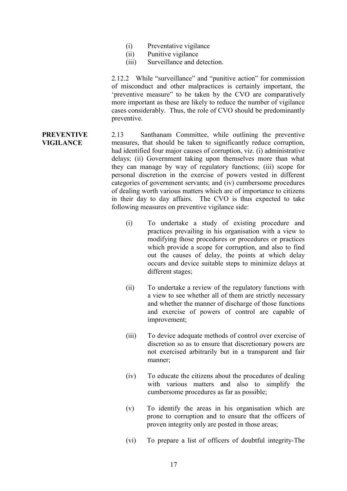- (i) Preventative vigilance
- (ii) Punitive vigilance
- (iii) Surveillance and detection.

2.12.2 While "surveillance" and "punitive action" for commission of misconduct and other malpractices is certainly important, the 'preventive measure" to be taken by the CVO are comparatively more important as these are likely to reduce the number of vigilance cases considerably. Thus, the role of CVO should be predominantly preventive.

#### **PREVENTIVE VIGILANCE** 2.13 Santhanam Committee, while outlining the preventive measures, that should be taken to significantly reduce corruption, had identified four major causes of corruption, viz. (i) administrative delays; (ii) Government taking upon themselves more than what they can manage by way of regulatory functions; (iii) scope for personal discretion in the exercise of powers vested in different categories of government servants; and (iv) cumbersome procedures of dealing worth various matters which are of importance to citizens in their day to day affairs. The CVO is thus expected to take following measures on preventive vigilance side:

- (i) To undertake a study of existing procedure and practices prevailing in his organisation with a view to modifying those procedures or procedures or practices which provide a scope for corruption, and also to find out the causes of delay, the points at which delay occurs and device suitable steps to minimize delays at different stages;
- (ii) To undertake a review of the regulatory functions with a view to see whether all of them are strictly necessary and whether the manner of discharge of those functions and exercise of powers of control are capable of improvement;
- (iii) To device adequate methods of control over exercise of discretion so as to ensure that discretionary powers are not exercised arbitrarily but in a transparent and fair manner;
- (iv) To educate the citizens about the procedures of dealing with various matters and also to simplify the cumbersome procedures as far as possible;
- (v) To identify the areas in his organisation which are prone to corruption and to ensure that the officers of proven integrity only are posted in those areas;
- (vi) To prepare a list of officers of doubtful integrity-The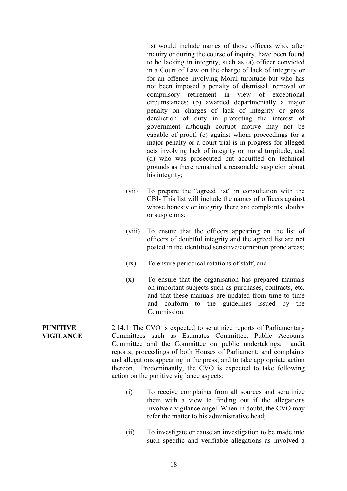list would include names of those officers who, after inquiry or during the course of inquiry, have been found to be lacking in integrity, such as (a) officer convicted in a Court of Law on the charge of lack of integrity or for an offence involving Moral turpitude but who has not been imposed a penalty of dismissal, removal or compulsory retirement in view of exceptional circumstances; (b) awarded departmentally a major penalty on charges of lack of integrity or gross dereliction of duty in protecting the interest of government although corrupt motive may not be capable of proof; (c) against whom proceedings for a major penalty or a court trial is in progress for alleged acts involving lack of integrity or moral turpitude; and (d) who was prosecuted but acquitted on technical grounds as there remained a reasonable suspicion about his integrity;

- (vii) To prepare the "agreed list" in consultation with the CBI- This list will include the names of officers against whose honesty or integrity there are complaints, doubts or suspicions;
- (viii) To ensure that the officers appearing on the list of officers of doubtful integrity and the agreed list are not posted in the identified sensitive/corruption prone areas;
- (ix) To ensure periodical rotations of staff; and
- (x) To ensure that the organisation has prepared manuals on important subjects such as purchases, contracts, etc. and that these manuals are updated from time to time and conform to the guidelines issued by the **Commission**

**PUNITIVE VIGILANCE** 2.14.1 The CVO is expected to scrutinize reports of Parliamentary Committees such as Estimates Committee, Public Accounts Committee and the Committee on public undertakings; audit reports; proceedings of both Houses of Parliament; and complaints and allegations appearing in the press; and to take appropriate action thereon. Predominantly, the CVO is expected to take following action on the punitive vigilance aspects:

- (i) To receive complaints from all sources and scrutinize them with a view to finding out if the allegations involve a vigilance angel. When in doubt, the CVO may refer the matter to his administrative head;
- (ii) To investigate or cause an investigation to be made into such specific and verifiable allegations as involved a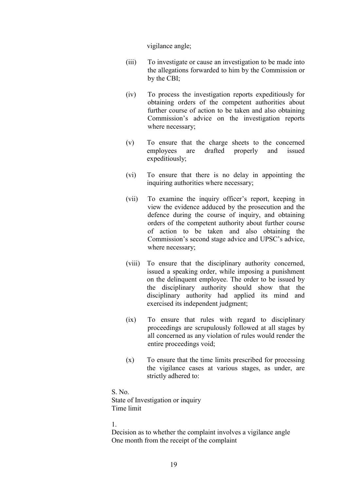vigilance angle;

- (iii) To investigate or cause an investigation to be made into the allegations forwarded to him by the Commission or by the CBI;
- (iv) To process the investigation reports expeditiously for obtaining orders of the competent authorities about further course of action to be taken and also obtaining Commission's advice on the investigation reports where necessary;
- (v) To ensure that the charge sheets to the concerned employees are drafted properly and issued expeditiously;
- (vi) To ensure that there is no delay in appointing the inquiring authorities where necessary;
- (vii) To examine the inquiry officer's report, keeping in view the evidence adduced by the prosecution and the defence during the course of inquiry, and obtaining orders of the competent authority about further course of action to be taken and also obtaining the Commission's second stage advice and UPSC's advice, where necessary;
- (viii) To ensure that the disciplinary authority concerned, issued a speaking order, while imposing a punishment on the delinquent employee. The order to be issued by the disciplinary authority should show that the disciplinary authority had applied its mind and exercised its independent judgment;
- (ix) To ensure that rules with regard to disciplinary proceedings are scrupulously followed at all stages by all concerned as any violation of rules would render the entire proceedings void;
- (x) To ensure that the time limits prescribed for processing the vigilance cases at various stages, as under, are strictly adhered to:

S. No. State of Investigation or inquiry Time limit

#### 1.

Decision as to whether the complaint involves a vigilance angle One month from the receipt of the complaint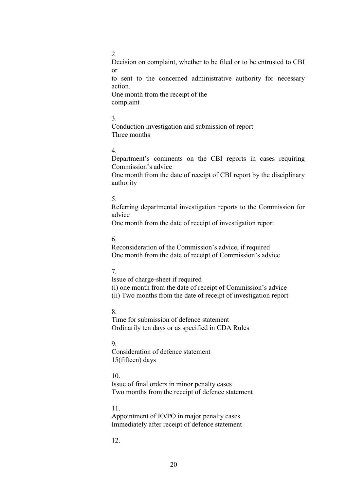#### 2.

Decision on complaint, whether to be filed or to be entrusted to CBI or to sent to the concerned administrative authority for necessary action.

One month from the receipt of the complaint

## 3.

Conduction investigation and submission of report Three months

## 4.

Department's comments on the CBI reports in cases requiring Commission's advice

One month from the date of receipt of CBI report by the disciplinary authority

## 5.

Referring departmental investigation reports to the Commission for advice

One month from the date of receipt of investigation report

# 6.

Reconsideration of the Commission's advice, if required One month from the date of receipt of Commission's advice

# 7.

Issue of charge-sheet if required

(i) one month from the date of receipt of Commission's advice (ii) Two months from the date of receipt of investigation report

# 8.

Time for submission of defence statement Ordinarily ten days or as specified in CDA Rules

# 9.

Consideration of defence statement 15(fifteen) days

# 10.

Issue of final orders in minor penalty cases Two months from the receipt of defence statement

# 11.

Appointment of IO/PO in major penalty cases Immediately after receipt of defence statement

# 12.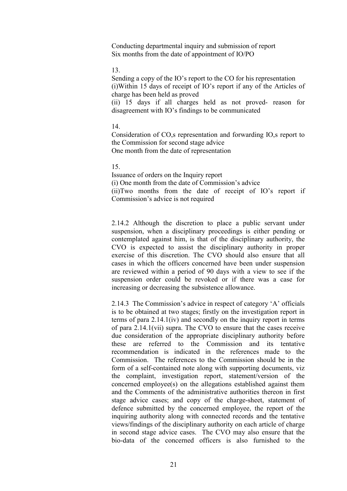Conducting departmental inquiry and submission of report Six months from the date of appointment of IO/PO

#### 13.

Sending a copy of the IO's report to the CO for his representation (i)Within 15 days of receipt of IO's report if any of the Articles of charge has been held as proved

(ii) 15 days if all charges held as not proved- reason for disagreement with IO's findings to be communicated

#### 14.

Consideration of CO,s representation and forwarding IO,s report to the Commission for second stage advice One month from the date of representation

### 15.

Issuance of orders on the Inquiry report (i) One month from the date of Commission's advice (ii)Two months from the date of receipt of IO's report if Commission's advice is not required

2.14.2 Although the discretion to place a public servant under suspension, when a disciplinary proceedings is either pending or contemplated against him, is that of the disciplinary authority, the CVO is expected to assist the disciplinary authority in proper exercise of this discretion. The CVO should also ensure that all cases in which the officers concerned have been under suspension are reviewed within a period of 90 days with a view to see if the suspension order could be revoked or if there was a case for increasing or decreasing the subsistence allowance.

2.14.3 The Commission's advice in respect of category 'A' officials is to be obtained at two stages; firstly on the investigation report in terms of para 2.14.1(iv) and secondly on the inquiry report in terms of para 2.14.1(vii) supra. The CVO to ensure that the cases receive due consideration of the appropriate disciplinary authority before these are referred to the Commission and its tentative recommendation is indicated in the references made to the Commission. The references to the Commission should be in the form of a self-contained note along with supporting documents, viz the complaint, investigation report, statement/version of the concerned employee(s) on the allegations established against them and the Comments of the administrative authorities thereon in first stage advice cases; and copy of the charge-sheet, statement of defence submitted by the concerned employee, the report of the inquiring authority along with connected records and the tentative views/findings of the disciplinary authority on each article of charge in second stage advice cases. The CVO may also ensure that the bio-data of the concerned officers is also furnished to the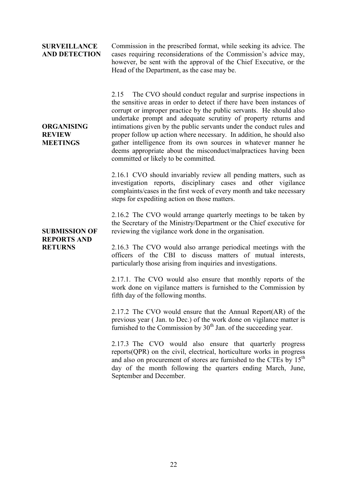#### **SURVEILLANCE AND DETECTION**

**ORGANISING REVIEW MEETINGS**

Commission in the prescribed format, while seeking its advice. The cases requiring reconsiderations of the Commission's advice may, however, be sent with the approval of the Chief Executive, or the Head of the Department, as the case may be.

2.15 The CVO should conduct regular and surprise inspections in the sensitive areas in order to detect if there have been instances of corrupt or improper practice by the public servants. He should also undertake prompt and adequate scrutiny of property returns and intimations given by the public servants under the conduct rules and proper follow up action where necessary. In addition, he should also gather intelligence from its own sources in whatever manner he deems appropriate about the misconduct/malpractices having been committed or likely to be committed.

2.16.1 CVO should invariably review all pending matters, such as investigation reports, disciplinary cases and other vigilance complaints/cases in the first week of every month and take necessary steps for expediting action on those matters.

2.16.2 The CVO would arrange quarterly meetings to be taken by the Secretary of the Ministry/Department or the Chief executive for reviewing the vigilance work done in the organisation.

**SUBMISSION OF REPORTS AND RETURNS**

2.16.3 The CVO would also arrange periodical meetings with the officers of the CBI to discuss matters of mutual interests, particularly those arising from inquiries and investigations.

2.17.1. The CVO would also ensure that monthly reports of the work done on vigilance matters is furnished to the Commission by fifth day of the following months.

2.17.2 The CVO would ensure that the Annual Report(AR) of the previous year ( Jan. to Dec.) of the work done on vigilance matter is furnished to the Commission by  $30<sup>th</sup>$  Jan. of the succeeding year.

2.17.3 The CVO would also ensure that quarterly progress reports(QPR) on the civil, electrical, horticulture works in progress and also on procurement of stores are furnished to the CTEs by 15<sup>th</sup> day of the month following the quarters ending March, June, September and December.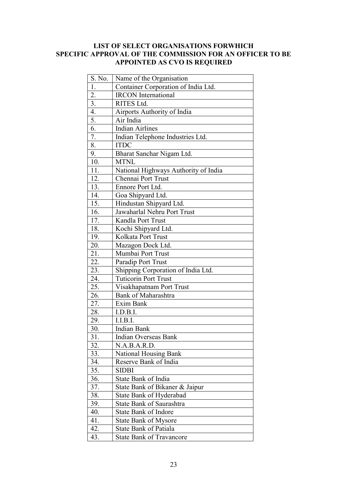# **LIST OF SELECT ORGANISATIONS FORWHICH SPECIFIC APPROVAL OF THE COMMISSION FOR AN OFFICER TO BE APPOINTED AS CVO IS REQUIRED**

| S. No.            | Name of the Organisation             |
|-------------------|--------------------------------------|
| 1.                | Container Corporation of India Ltd.  |
| $\overline{2}$ .  | <b>IRCON</b> International           |
| $\overline{3}$ .  | <b>RITES Ltd.</b>                    |
| 4.                | Airports Authority of India          |
| $\overline{5}$ .  | Air India                            |
| $\overline{6}$ .  | <b>Indian Airlines</b>               |
| 7.                | Indian Telephone Industries Ltd.     |
| 8.                | <b>ITDC</b>                          |
| 9.                | Bharat Sanchar Nigam Ltd.            |
| 10.               | <b>MTNL</b>                          |
| 11.               | National Highways Authority of India |
| 12.               | Chennai Port Trust                   |
| 13.               | Ennore Port Ltd.                     |
| 14.               | Goa Shipyard Ltd.                    |
| $1\overline{5}$ . | Hindustan Shipyard Ltd.              |
| 16.               | Jawaharlal Nehru Port Trust          |
| 17.               | Kandla Port Trust                    |
| 18.               | Kochi Shipyard Ltd.                  |
| 19.               | Kolkata Port Trust                   |
| 20.               | Mazagon Dock Ltd.                    |
| 21.               | Mumbai Port Trust                    |
| 22.               | Paradip Port Trust                   |
| 23.               | Shipping Corporation of India Ltd.   |
| 24.               | <b>Tuticorin Port Trust</b>          |
| 25.               | Visakhapatnam Port Trust             |
| 26.               | <b>Bank of Maharashtra</b>           |
| 27.               | Exim Bank                            |
| 28.               | I.D.B.I.                             |
| 29.               | I.I.B.I.                             |
| 30.               | <b>Indian Bank</b>                   |
| 31.               | <b>Indian Overseas Bank</b>          |
| 32.               | N.A.B.A.R.D.                         |
| 33.               | <b>National Housing Bank</b>         |
| 34.               | Reserve Bank of India                |
| 35.               | <b>SIDBI</b>                         |
| 36.               | <b>State Bank of India</b>           |
| 37.               | State Bank of Bikaner & Jaipur       |
| 38.               | State Bank of Hyderabad              |
| 39.               | <b>State Bank of Saurashtra</b>      |
| 40.               | <b>State Bank of Indore</b>          |
| 41.               | <b>State Bank of Mysore</b>          |
| 42.               | <b>State Bank of Patiala</b>         |
| 43.               | <b>State Bank of Travancore</b>      |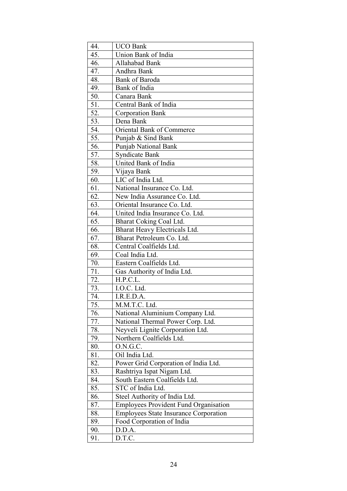| 44.               | <b>UCO Bank</b>                              |
|-------------------|----------------------------------------------|
| 45.               | Union Bank of India                          |
| 46.               | Allahabad Bank                               |
| 47.               | Andhra Bank                                  |
| 48.               | <b>Bank of Baroda</b>                        |
| 49.               | Bank of India                                |
| 50.               | Canara Bank                                  |
| $\overline{51}$ . | Central Bank of India                        |
| 52.               | <b>Corporation Bank</b>                      |
| 53.               | Dena Bank                                    |
| 54.               | Oriental Bank of Commerce                    |
| 55.               | Punjab & Sind Bank                           |
| 56.               | Punjab National Bank                         |
| 57.               | <b>Syndicate Bank</b>                        |
| 58.               | United Bank of India                         |
| 59.               | Vijaya Bank                                  |
| 60.               | LIC of India Ltd.                            |
| 61.               | National Insurance Co. Ltd.                  |
| 62.               | New India Assurance Co. Ltd.                 |
| 63.               | Oriental Insurance Co. Ltd.                  |
| 64.               | United India Insurance Co. Ltd.              |
| 65.               | Bharat Coking Coal Ltd.                      |
| 66.               | Bharat Heavy Electricals Ltd.                |
| 67.               | Bharat Petroleum Co. Ltd.                    |
| 68.               | Central Coalfields Ltd.                      |
| 69.               | Coal India Ltd.                              |
| 70.               | Eastern Coalfields Ltd.                      |
| 71.               | Gas Authority of India Ltd.                  |
| 72.               | H.P.C.L.                                     |
| 73.               | I.O.C. Ltd.                                  |
| 74.               | I.R.E.D.A.                                   |
| 75.               | M.M.T.C. Ltd.                                |
| 76.               | National Aluminium Company Ltd.              |
| 77.               | National Thermal Power Corp. Ltd.            |
| 78.               | Neyveli Lignite Corporation Ltd.             |
| 79.               | Northern Coalfields Ltd.                     |
| 80.               | O.N.G.C.                                     |
| 81.               | Oil India Ltd.                               |
| 82.               | Power Grid Corporation of India Ltd.         |
| 83.               | Rashtriya Ispat Nigam Ltd.                   |
| 84.               | South Eastern Coalfields Ltd.                |
| 85.               | STC of India Ltd.                            |
| 86.               | Steel Authority of India Ltd.                |
| 87.               | <b>Employees Provident Fund Organisation</b> |
| 88.               | <b>Employees State Insurance Corporation</b> |
| 89.               | Food Corporation of India                    |
| 90.               | D.D.A.                                       |
| 91.               | D.T.C.                                       |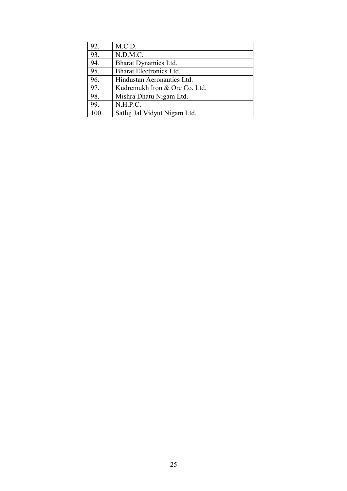| 92. | M.C.D.                         |
|-----|--------------------------------|
| 93. | N.D.M.C.                       |
| 94. | Bharat Dynamics Ltd.           |
| 95. | <b>Bharat Electronics Ltd.</b> |
| 96. | Hindustan Aeronautics Ltd.     |
| 97. | Kudremukh Iron & Ore Co. Ltd.  |
| 98. | Mishra Dhatu Nigam Ltd.        |
| 99. | N.H.P.C.                       |
| 100 | Satluj Jal Vidyut Nigam Ltd.   |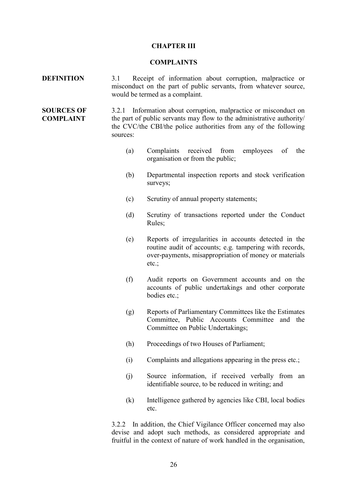#### **CHAPTER III**

#### **COMPLAINTS**

- **DEFINITION** 3.1 Receipt of information about corruption, malpractice or misconduct on the part of public servants, from whatever source, would be termed as a complaint.
- **SOURCES OF COMPLAINT** 3.2.1 Information about corruption, malpractice or misconduct on the part of public servants may flow to the administrative authority/ the CVC/the CBI/the police authorities from any of the following sources:
	- (a) Complaints received from employees of the organisation or from the public;
	- (b) Departmental inspection reports and stock verification surveys:
	- (c) Scrutiny of annual property statements;
	- (d) Scrutiny of transactions reported under the Conduct Rules;
	- (e) Reports of irregularities in accounts detected in the routine audit of accounts; e.g. tampering with records, over-payments, misappropriation of money or materials etc.;
	- (f) Audit reports on Government accounts and on the accounts of public undertakings and other corporate bodies etc.;
	- (g) Reports of Parliamentary Committees like the Estimates Committee, Public Accounts Committee and the Committee on Public Undertakings;
	- (h) Proceedings of two Houses of Parliament;
	- (i) Complaints and allegations appearing in the press etc.;
	- (j) Source information, if received verbally from an identifiable source, to be reduced in writing; and
	- (k) Intelligence gathered by agencies like CBI, local bodies etc.

3.2.2 In addition, the Chief Vigilance Officer concerned may also devise and adopt such methods, as considered appropriate and fruitful in the context of nature of work handled in the organisation,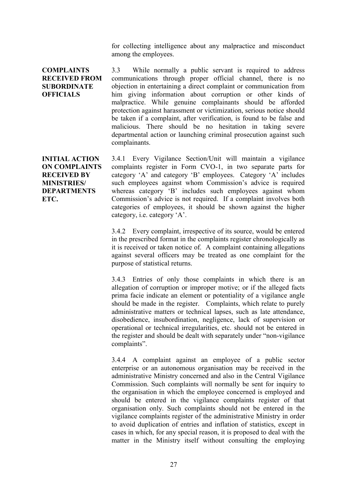for collecting intelligence about any malpractice and misconduct among the employees.

**COMPLAINTS RECEIVED FROM SUBORDINATE OFFICIALS**

3.3 While normally a public servant is required to address communications through proper official channel, there is no objection in entertaining a direct complaint or communication from him giving information about corruption or other kinds of malpractice. While genuine complainants should be afforded protection against harassment or victimization, serious notice should be taken if a complaint, after verification, is found to be false and malicious. There should be no hesitation in taking severe departmental action or launching criminal prosecution against such complainants.

**INITIAL ACTION ON COMPLAINTS RECEIVED BY MINISTRIES/ DEPARTMENTS ETC.**

3.4.1 Every Vigilance Section/Unit will maintain a vigilance complaints register in Form CVO-1, in two separate parts for category 'A' and category 'B' employees. Category 'A' includes such employees against whom Commission's advice is required whereas category 'B' includes such employees against whom Commission's advice is not required. If a complaint involves both categories of employees, it should be shown against the higher category, i.e. category 'A'.

3.4.2 Every complaint, irrespective of its source, would be entered in the prescribed format in the complaints register chronologically as it is received or taken notice of. A complaint containing allegations against several officers may be treated as one complaint for the purpose of statistical returns.

3.4.3 Entries of only those complaints in which there is an allegation of corruption or improper motive; or if the alleged facts prima facie indicate an element or potentiality of a vigilance angle should be made in the register. Complaints, which relate to purely administrative matters or technical lapses, such as late attendance, disobedience, insubordination, negligence, lack of supervision or operational or technical irregularities, etc. should not be entered in the register and should be dealt with separately under "non-vigilance complaints".

3.4.4 A complaint against an employee of a public sector enterprise or an autonomous organisation may be received in the administrative Ministry concerned and also in the Central Vigilance Commission. Such complaints will normally be sent for inquiry to the organisation in which the employee concerned is employed and should be entered in the vigilance complaints register of that organisation only. Such complaints should not be entered in the vigilance complaints register of the administrative Ministry in order to avoid duplication of entries and inflation of statistics, except in cases in which, for any special reason, it is proposed to deal with the matter in the Ministry itself without consulting the employing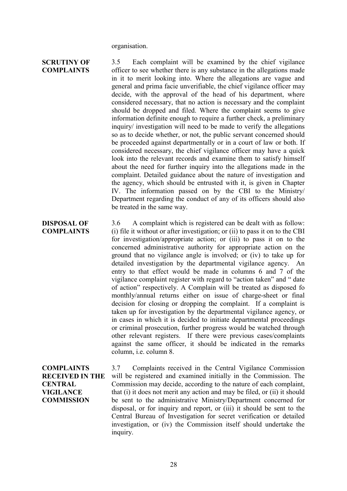organisation.

# **SCRUTINY OF COMPLAINTS DISPOSAL OF COMPLAINTS** 3.5 Each complaint will be examined by the chief vigilance officer to see whether there is any substance in the allegations made in it to merit looking into. Where the allegations are vague and general and prima facie unverifiable, the chief vigilance officer may decide, with the approval of the head of his department, where considered necessary, that no action is necessary and the complaint should be dropped and filed. Where the complaint seems to give information definite enough to require a further check, a preliminary inquiry/ investigation will need to be made to verify the allegations so as to decide whether, or not, the public servant concerned should be proceeded against departmentally or in a court of law or both. If considered necessary, the chief vigilance officer may have a quick look into the relevant records and examine them to satisfy himself about the need for further inquiry into the allegations made in the complaint. Detailed guidance about the nature of investigation and the agency, which should be entrusted with it, is given in Chapter IV. The information passed on by the CBI to the Ministry/ Department regarding the conduct of any of its officers should also be treated in the same way. 3.6 A complaint which is registered can be dealt with as follow: (i) file it without or after investigation; or (ii) to pass it on to the CBI for investigation/appropriate action; or (iii) to pass it on to the concerned administrative authority for appropriate action on the ground that no vigilance angle is involved; or (iv) to take up for detailed investigation by the departmental vigilance agency. An entry to that effect would be made in columns 6 and 7 of the vigilance complaint register with regard to "action taken" and " date

of action" respectively. A Complain will be treated as disposed fo monthly/annual returns either on issue of charge-sheet or final decision for closing or dropping the complaint. If a complaint is taken up for investigation by the departmental vigilance agency, or in cases in which it is decided to initiate departmental proceedings or criminal prosecution, further progress would be watched through other relevant registers. If there were previous cases/complaints against the same officer, it should be indicated in the remarks column, i.e. column 8.

**COMPLAINTS RECEIVED IN THE CENTRAL VIGILANCE COMMISSION** 3.7 Complaints received in the Central Vigilance Commission will be registered and examined initially in the Commission. The Commission may decide, according to the nature of each complaint, that (i) it does not merit any action and may be filed, or (ii) it should be sent to the administrative Ministry/Department concerned for disposal, or for inquiry and report, or (iii) it should be sent to the Central Bureau of Investigation for secret verification or detailed investigation, or (iv) the Commission itself should undertake the inquiry.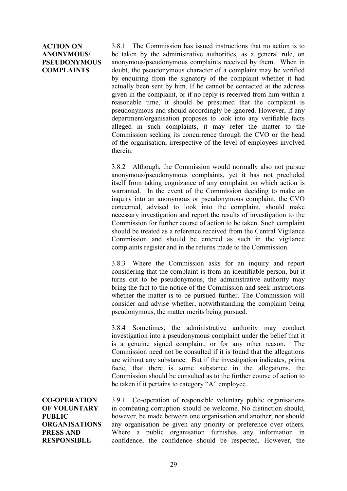## **ACTION ON ANONYMOUS/ PSEUDONYMOUS COMPLAINTS**

3.8.1 The Commission has issued instructions that no action is to be taken by the administrative authorities, as a general rule, on anonymous/pseudonymous complaints received by them. When in doubt, the pseudonymous character of a complaint may be verified by enquiring from the signatory of the complaint whether it had actually been sent by him. If he cannot be contacted at the address given in the complaint, or if no reply is received from him within a reasonable time, it should be presumed that the complaint is pseudonymous and should accordingly be ignored. However, if any department/organisation proposes to look into any verifiable facts alleged in such complaints, it may refer the matter to the Commission seeking its concurrence through the CVO or the head of the organisation, irrespective of the level of employees involved therein.

3.8.2 Although, the Commission would normally also not pursue anonymous/pseudonymous complaints, yet it has not precluded itself from taking cognizance of any complaint on which action is warranted. In the event of the Commission deciding to make an inquiry into an anonymous or pseudonymous complaint, the CVO concerned, advised to look into the complaint, should make necessary investigation and report the results of investigation to the Commission for further course of action to be taken. Such complaint should be treated as a reference received from the Central Vigilance Commission and should be entered as such in the vigilance complaints register and in the returns made to the Commission.

3.8.3 Where the Commission asks for an inquiry and report considering that the complaint is from an identifiable person, but it turns out to be pseudonymous, the administrative authority may bring the fact to the notice of the Commission and seek instructions whether the matter is to be pursued further. The Commission will consider and advise whether, notwithstanding the complaint being pseudonymous, the matter merits being pursued.

3.8.4 Sometimes, the administrative authority may conduct investigation into a pseudonymous complaint under the belief that it is a genuine signed complaint, or for any other reason. The Commission need not be consulted if it is found that the allegations are without any substance. But if the investigation indicates, prima facie, that there is some substance in the allegations, the Commission should be consulted as to the further course of action to be taken if it pertains to category "A" employee.

**CO-OPERATION OF VOLUNTARY PUBLIC ORGANISATIONS PRESS AND RESPONSIBLE**

3.9.1 Co-operation of responsible voluntary public organisations in combating corruption should be welcome. No distinction should, however, be made between one organisation and another; nor should any organisation be given any priority or preference over others. Where a public organisation furnishes any information in confidence, the confidence should be respected. However, the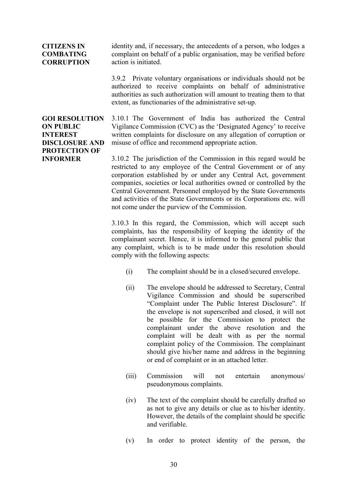## **CITIZENS IN COMBATING CORRUPTION**

identity and, if necessary, the antecedents of a person, who lodges a complaint on behalf of a public organisation, may be verified before action is initiated.

3.9.2 Private voluntary organisations or individuals should not be authorized to receive complaints on behalf of administrative authorities as such authorization will amount to treating them to that extent, as functionaries of the administrative set-up.

**GOI RESOLUTION ON PUBLIC INTEREST DISCLOSURE AND PROTECTION OF INFORMER**

3.10.1 The Government of India has authorized the Central Vigilance Commission (CVC) as the 'Designated Agency' to receive written complaints for disclosure on any allegation of corruption or misuse of office and recommend appropriate action.

3.10.2 The jurisdiction of the Commission in this regard would be restricted to any employee of the Central Government or of any corporation established by or under any Central Act, government companies, societies or local authorities owned or controlled by the Central Government. Personnel employed by the State Governments and activities of the State Governments or its Corporations etc. will not come under the purview of the Commission.

3.10.3 In this regard, the Commission, which will accept such complaints, has the responsibility of keeping the identity of the complainant secret. Hence, it is informed to the general public that any complaint, which is to be made under this resolution should comply with the following aspects:

- (i) The complaint should be in a closed/secured envelope.
- (ii) The envelope should be addressed to Secretary, Central Vigilance Commission and should be superscribed "Complaint under The Public Interest Disclosure". If the envelope is not superscribed and closed, it will not be possible for the Commission to protect the complainant under the above resolution and the complaint will be dealt with as per the normal complaint policy of the Commission. The complainant should give his/her name and address in the beginning or end of complaint or in an attached letter.
- (iii) Commission will not entertain anonymous/ pseudonymous complaints.
- (iv) The text of the complaint should be carefully drafted so as not to give any details or clue as to his/her identity. However, the details of the complaint should be specific and verifiable.
- (v) In order to protect identity of the person, the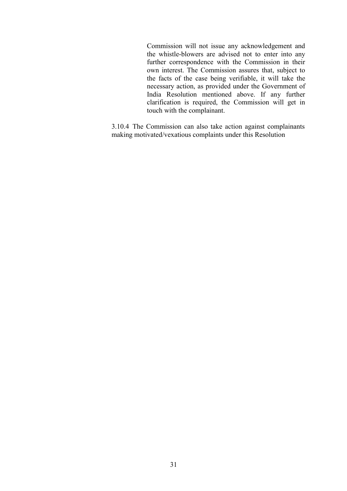Commission will not issue any acknowledgement and the whistle-blowers are advised not to enter into any further correspondence with the Commission in their own interest. The Commission assures that, subject to the facts of the case being verifiable, it will take the necessary action, as provided under the Government of India Resolution mentioned above. If any further clarification is required, the Commission will get in touch with the complainant.

3.10.4 The Commission can also take action against complainants making motivated/vexatious complaints under this Resolution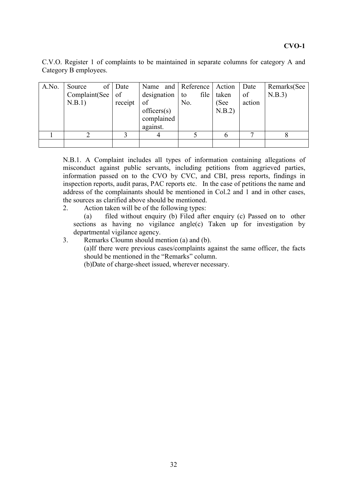# **CVO-1**

C.V.O. Register 1 of complaints to be maintained in separate columns for category A and Category B employees.

| A.No. | Source<br>Complaint(See  <br>N.B.1) | of Date<br>of<br>receipt | Name and Reference<br>designation<br>of<br>officers(s)<br>complained<br>against. | file<br>to<br>No. | Action<br>taken<br>(See<br>N.B.2) | Date<br>of<br>action | Remarks(See<br>N.B.3) |
|-------|-------------------------------------|--------------------------|----------------------------------------------------------------------------------|-------------------|-----------------------------------|----------------------|-----------------------|
|       |                                     |                          |                                                                                  |                   |                                   |                      |                       |
|       |                                     |                          |                                                                                  |                   |                                   |                      |                       |

N.B.1. A Complaint includes all types of information containing allegations of misconduct against public servants, including petitions from aggrieved parties, information passed on to the CVO by CVC, and CBI, press reports, findings in inspection reports, audit paras, PAC reports etc. In the case of petitions the name and address of the complainants should be mentioned in Col.2 and 1 and in other cases, the sources as clarified above should be mentioned.

2. Action taken will be of the following types:

(a) filed without enquiry (b) Filed after enquiry (c) Passed on to other sections as having no vigilance angle(c) Taken up for investigation by departmental vigilance agency.

3. Remarks Cloumn should mention (a) and (b). (a)If there were previous cases/complaints against the same officer, the facts should be mentioned in the "Remarks" column.

(b)Date of charge-sheet issued, wherever necessary.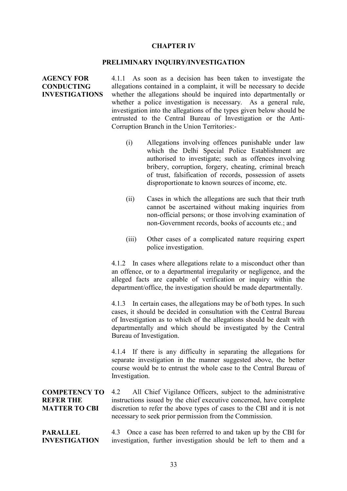#### **CHAPTER IV**

#### **PRELIMINARY INQUIRY/INVESTIGATION**

**AGENCY FOR CONDUCTING INVESTIGATIONS** 4.1.1 As soon as a decision has been taken to investigate the allegations contained in a complaint, it will be necessary to decide whether the allegations should be inquired into departmentally or whether a police investigation is necessary. As a general rule, investigation into the allegations of the types given below should be entrusted to the Central Bureau of Investigation or the Anti-Corruption Branch in the Union Territories:-

- (i) Allegations involving offences punishable under law which the Delhi Special Police Establishment are authorised to investigate; such as offences involving bribery, corruption, forgery, cheating, criminal breach of trust, falsification of records, possession of assets disproportionate to known sources of income, etc.
- (ii) Cases in which the allegations are such that their truth cannot be ascertained without making inquiries from non-official persons; or those involving examination of non-Government records, books of accounts etc.; and
- (iii) Other cases of a complicated nature requiring expert police investigation.

4.1.2 In cases where allegations relate to a misconduct other than an offence, or to a departmental irregularity or negligence, and the alleged facts are capable of verification or inquiry within the department/office, the investigation should be made departmentally.

4.1.3 In certain cases, the allegations may be of both types. In such cases, it should be decided in consultation with the Central Bureau of Investigation as to which of the allegations should be dealt with departmentally and which should be investigated by the Central Bureau of Investigation.

4.1.4 If there is any difficulty in separating the allegations for separate investigation in the manner suggested above, the better course would be to entrust the whole case to the Central Bureau of Investigation.

**COMPETENCY TO REFER THE MATTER TO CBI** 4.2 All Chief Vigilance Officers, subject to the administrative instructions issued by the chief executive concerned, have complete discretion to refer the above types of cases to the CBI and it is not necessary to seek prior permission from the Commission.

**PARALLEL INVESTIGATION** 4.3 Once a case has been referred to and taken up by the CBI for investigation, further investigation should be left to them and a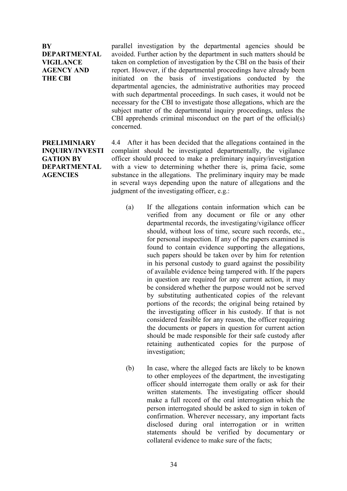**BY DEPARTMENTAL VIGILANCE AGENCY AND THE CBI**

parallel investigation by the departmental agencies should be avoided. Further action by the department in such matters should be taken on completion of investigation by the CBI on the basis of their report. However, if the departmental proceedings have already been initiated on the basis of investigations conducted by the departmental agencies, the administrative authorities may proceed with such departmental proceedings. In such cases, it would not be necessary for the CBI to investigate those allegations, which are the subject matter of the departmental inquiry proceedings, unless the CBI apprehends criminal misconduct on the part of the official(s) concerned.

**PRELIMINIARY INQUIRY/INVESTI GATION BY DEPARTMENTAL AGENCIES**

4.4 After it has been decided that the allegations contained in the complaint should be investigated departmentally, the vigilance officer should proceed to make a preliminary inquiry/investigation with a view to determining whether there is, prima facie, some substance in the allegations. The preliminary inquiry may be made in several ways depending upon the nature of allegations and the judgment of the investigating officer, e.g.:

- (a) If the allegations contain information which can be verified from any document or file or any other departmental records, the investigating/vigilance officer should, without loss of time, secure such records, etc., for personal inspection. If any of the papers examined is found to contain evidence supporting the allegations, such papers should be taken over by him for retention in his personal custody to guard against the possibility of available evidence being tampered with. If the papers in question are required for any current action, it may be considered whether the purpose would not be served by substituting authenticated copies of the relevant portions of the records; the original being retained by the investigating officer in his custody. If that is not considered feasible for any reason, the officer requiring the documents or papers in question for current action should be made responsible for their safe custody after retaining authenticated copies for the purpose of investigation;
- (b) In case, where the alleged facts are likely to be known to other employees of the department, the investigating officer should interrogate them orally or ask for their written statements. The investigating officer should make a full record of the oral interrogation which the person interrogated should be asked to sign in token of confirmation. Wherever necessary, any important facts disclosed during oral interrogation or in written statements should be verified by documentary or collateral evidence to make sure of the facts;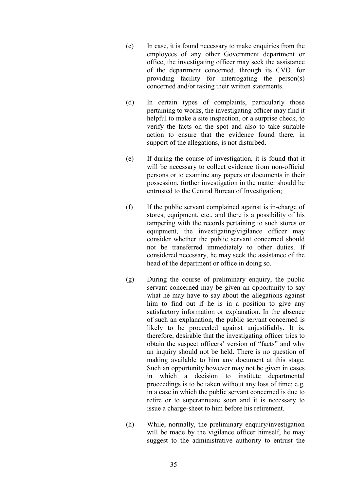- (c) In case, it is found necessary to make enquiries from the employees of any other Government department or office, the investigating officer may seek the assistance of the department concerned, through its CVO, for providing facility for interrogating the person(s) concerned and/or taking their written statements.
- (d) In certain types of complaints, particularly those pertaining to works, the investigating officer may find it helpful to make a site inspection, or a surprise check, to verify the facts on the spot and also to take suitable action to ensure that the evidence found there, in support of the allegations, is not disturbed.
- (e) If during the course of investigation, it is found that it will be necessary to collect evidence from non-official persons or to examine any papers or documents in their possession, further investigation in the matter should be entrusted to the Central Bureau of Investigation;
- (f) If the public servant complained against is in-charge of stores, equipment, etc., and there is a possibility of his tampering with the records pertaining to such stores or equipment, the investigating/vigilance officer may consider whether the public servant concerned should not be transferred immediately to other duties. If considered necessary, he may seek the assistance of the head of the department or office in doing so.
- (g) During the course of preliminary enquiry, the public servant concerned may be given an opportunity to say what he may have to say about the allegations against him to find out if he is in a position to give any satisfactory information or explanation. In the absence of such an explanation, the public servant concerned is likely to be proceeded against unjustifiably. It is, therefore, desirable that the investigating officer tries to obtain the suspect officers' version of "facts" and why an inquiry should not be held. There is no question of making available to him any document at this stage. Such an opportunity however may not be given in cases in which a decision to institute departmental proceedings is to be taken without any loss of time; e.g. in a case in which the public servant concerned is due to retire or to superannuate soon and it is necessary to issue a charge-sheet to him before his retirement.
- (h) While, normally, the preliminary enquiry/investigation will be made by the vigilance officer himself, he may suggest to the administrative authority to entrust the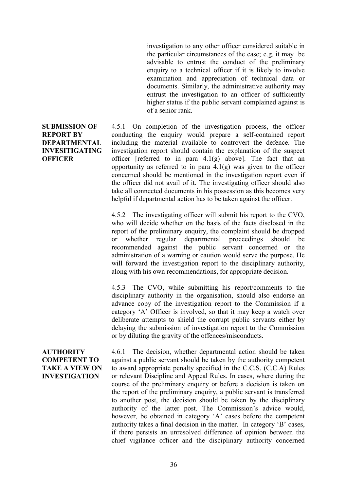investigation to any other officer considered suitable in the particular circumstances of the case; e.g. it may be advisable to entrust the conduct of the preliminary enquiry to a technical officer if it is likely to involve examination and appreciation of technical data or documents. Similarly, the administrative authority may entrust the investigation to an officer of sufficiently higher status if the public servant complained against is of a senior rank.

4.5.1 On completion of the investigation process, the officer conducting the enquiry would prepare a self-contained report including the material available to controvert the defence. The investigation report should contain the explanation of the suspect officer [referred to in para  $4.1(g)$  above]. The fact that an opportunity as referred to in para  $4.1(g)$  was given to the officer concerned should be mentioned in the investigation report even if the officer did not avail of it. The investigating officer should also take all connected documents in his possession as this becomes very helpful if departmental action has to be taken against the officer.

4.5.2 The investigating officer will submit his report to the CVO, who will decide whether on the basis of the facts disclosed in the report of the preliminary enquiry, the complaint should be dropped or whether regular departmental proceedings should be recommended against the public servant concerned or the administration of a warning or caution would serve the purpose. He will forward the investigation report to the disciplinary authority, along with his own recommendations, for appropriate decision.

4.5.3 The CVO, while submitting his report/comments to the disciplinary authority in the organisation, should also endorse an advance copy of the investigation report to the Commission if a category 'A' Officer is involved, so that it may keep a watch over deliberate attempts to shield the corrupt public servants either by delaying the submission of investigation report to the Commission or by diluting the gravity of the offences/misconducts.

**AUTHORITY COMPETENT TO TAKE A VIEW ON INVESTIGATION** 4.6.1 The decision, whether departmental action should be taken against a public servant should be taken by the authority competent to award appropriate penalty specified in the C.C.S. (C.C.A) Rules or relevant Discipline and Appeal Rules. In cases, where during the course of the preliminary enquiry or before a decision is taken on the report of the preliminary enquiry, a public servant is transferred to another post, the decision should be taken by the disciplinary authority of the latter post. The Commission's advice would, however, be obtained in category 'A' cases before the competent authority takes a final decision in the matter. In category 'B' cases, if there persists an unresolved difference of opinion between the chief vigilance officer and the disciplinary authority concerned

# **SUBMISSION OF REPORT BY DEPARTMENTAL INVESITIGATING OFFICER**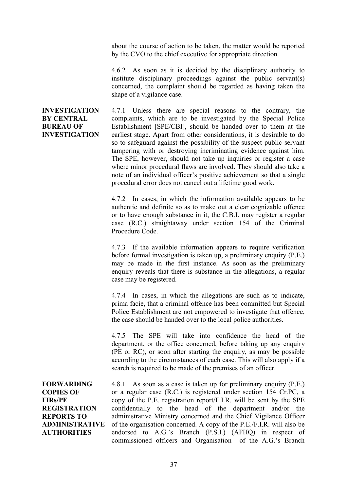about the course of action to be taken, the matter would be reported by the CVO to the chief executive for appropriate direction.

4.6.2 As soon as it is decided by the disciplinary authority to institute disciplinary proceedings against the public servant(s) concerned, the complaint should be regarded as having taken the shape of a vigilance case.

## **INVESTIGATION BY CENTRAL BUREAU OF INVESTIGATION**

4.7.1 Unless there are special reasons to the contrary, the complaints, which are to be investigated by the Special Police Establishment [SPE/CBI], should be handed over to them at the earliest stage. Apart from other considerations, it is desirable to do so to safeguard against the possibility of the suspect public servant tampering with or destroying incriminating evidence against him. The SPE, however, should not take up inquiries or register a case where minor procedural flaws are involved. They should also take a note of an individual officer's positive achievement so that a single procedural error does not cancel out a lifetime good work.

4.7.2 In cases, in which the information available appears to be authentic and definite so as to make out a clear cognizable offence or to have enough substance in it, the C.B.I. may register a regular case (R.C.) straightaway under section 154 of the Criminal Procedure Code.

4.7.3 If the available information appears to require verification before formal investigation is taken up, a preliminary enquiry (P.E.) may be made in the first instance. As soon as the preliminary enquiry reveals that there is substance in the allegations, a regular case may be registered.

4.7.4 In cases, in which the allegations are such as to indicate, prima facie, that a criminal offence has been committed but Special Police Establishment are not empowered to investigate that offence, the case should be handed over to the local police authorities.

4.7.5 The SPE will take into confidence the head of the department, or the office concerned, before taking up any enquiry (PE or RC), or soon after starting the enquiry, as may be possible according to the circumstances of each case. This will also apply if a search is required to be made of the premises of an officer.

**FORWARDING COPIES OF FIRs/PE REGISTRATION REPORTS TO ADMINISTRATIVE AUTHORITIES**

4.8.1 As soon as a case is taken up for preliminary enquiry (P.E.) or a regular case (R.C.) is registered under section 154 Cr.PC, a copy of the P.E. registration report/F.I.R. will be sent by the SPE confidentially to the head of the department and/or the administrative Ministry concerned and the Chief Vigilance Officer of the organisation concerned. A copy of the P.E./F.I.R. will also be endorsed to A.G.'s Branch (P.S.I.) (AFHQ) in respect of commissioned officers and Organisation of the A.G.'s Branch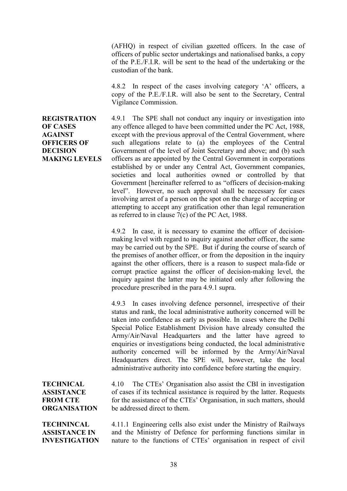(AFHQ) in respect of civilian gazetted officers. In the case of officers of public sector undertakings and nationalised banks, a copy of the P.E./F.I.R. will be sent to the head of the undertaking or the custodian of the bank.

4.8.2 In respect of the cases involving category 'A' officers, a copy of the P.E./F.I.R. will also be sent to the Secretary, Central Vigilance Commission.

**REGISTRATION OF CASES AGAINST OFFICERS OF DECISION MAKING LEVELS** 4.9.1 The SPE shall not conduct any inquiry or investigation into any offence alleged to have been committed under the PC Act, 1988, except with the previous approval of the Central Government, where such allegations relate to (a) the employees of the Central Government of the level of Joint Secretary and above; and (b) such officers as are appointed by the Central Government in corporations established by or under any Central Act, Government companies, societies and local authorities owned or controlled by that Government [hereinafter referred to as "officers of decision-making level". However, no such approval shall be necessary for cases involving arrest of a person on the spot on the charge of accepting or attempting to accept any gratification other than legal remuneration as referred to in clause 7(c) of the PC Act, 1988.

4.9.2 In case, it is necessary to examine the officer of decisionmaking level with regard to inquiry against another officer, the same may be carried out by the SPE. But if during the course of search of the premises of another officer, or from the deposition in the inquiry against the other officers, there is a reason to suspect mala-fide or corrupt practice against the officer of decision-making level, the inquiry against the latter may be initiated only after following the procedure prescribed in the para 4.9.1 supra.

4.9.3 In cases involving defence personnel, irrespective of their status and rank, the local administrative authority concerned will be taken into confidence as early as possible. In cases where the Delhi Special Police Establishment Division have already consulted the Army/Air/Naval Headquarters and the latter have agreed to enquiries or investigations being conducted, the local administrative authority concerned will be informed by the Army/Air/Naval Headquarters direct. The SPE will, however, take the local administrative authority into confidence before starting the enquiry.

**TECHNICAL ASSISTANCE FROM CTE ORGANISATION**

4.10 The CTEs' Organisation also assist the CBI in investigation of cases if its technical assistance is required by the latter. Requests for the assistance of the CTEs' Organisation, in such matters, should be addressed direct to them.

**TECHNINCAL ASSISTANCE IN INVESTIGATION** 4.11.1 Engineering cells also exist under the Ministry of Railways and the Ministry of Defence for performing functions similar in nature to the functions of CTEs' organisation in respect of civil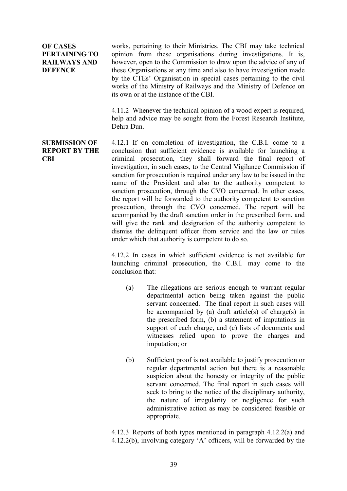**OF CASES PERTAINING TO RAILWAYS AND DEFENCE**

works, pertaining to their Ministries. The CBI may take technical opinion from these organisations during investigations. It is, however, open to the Commission to draw upon the advice of any of these Organisations at any time and also to have investigation made by the CTEs' Organisation in special cases pertaining to the civil works of the Ministry of Railways and the Ministry of Defence on its own or at the instance of the CBI.

4.11.2 Whenever the technical opinion of a wood expert is required, help and advice may be sought from the Forest Research Institute, Dehra Dun.

### **SUBMISSION OF REPORT BY THE CBI**

4.12.1 If on completion of investigation, the C.B.I. come to a conclusion that sufficient evidence is available for launching a criminal prosecution, they shall forward the final report of investigation, in such cases, to the Central Vigilance Commission if sanction for prosecution is required under any law to be issued in the name of the President and also to the authority competent to sanction prosecution, through the CVO concerned. In other cases, the report will be forwarded to the authority competent to sanction prosecution, through the CVO concerned. The report will be accompanied by the draft sanction order in the prescribed form, and will give the rank and designation of the authority competent to dismiss the delinquent officer from service and the law or rules under which that authority is competent to do so.

4.12.2 In cases in which sufficient evidence is not available for launching criminal prosecution, the C.B.I. may come to the conclusion that:

- (a) The allegations are serious enough to warrant regular departmental action being taken against the public servant concerned. The final report in such cases will be accompanied by (a) draft article(s) of charge(s) in the prescribed form, (b) a statement of imputations in support of each charge, and (c) lists of documents and witnesses relied upon to prove the charges and imputation; or
- (b) Sufficient proof is not available to justify prosecution or regular departmental action but there is a reasonable suspicion about the honesty or integrity of the public servant concerned. The final report in such cases will seek to bring to the notice of the disciplinary authority, the nature of irregularity or negligence for such administrative action as may be considered feasible or appropriate.

4.12.3 Reports of both types mentioned in paragraph 4.12.2(a) and 4.12.2(b), involving category 'A' officers, will be forwarded by the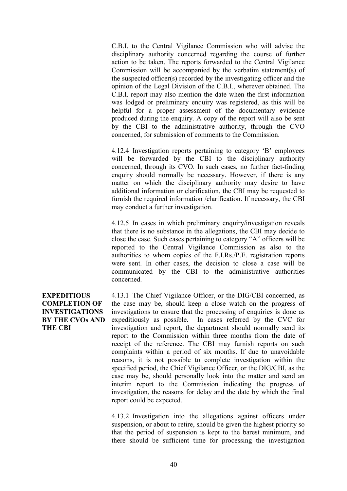C.B.I. to the Central Vigilance Commission who will advise the disciplinary authority concerned regarding the course of further action to be taken. The reports forwarded to the Central Vigilance Commission will be accompanied by the verbatim statement(s) of the suspected officer(s) recorded by the investigating officer and the opinion of the Legal Division of the C.B.I., wherever obtained. The C.B.I. report may also mention the date when the first information was lodged or preliminary enquiry was registered, as this will be helpful for a proper assessment of the documentary evidence produced during the enquiry. A copy of the report will also be sent by the CBI to the administrative authority, through the CVO concerned, for submission of comments to the Commission.

4.12.4 Investigation reports pertaining to category 'B' employees will be forwarded by the CBI to the disciplinary authority concerned, through its CVO. In such cases, no further fact-finding enquiry should normally be necessary. However, if there is any matter on which the disciplinary authority may desire to have additional information or clarification, the CBI may be requested to furnish the required information /clarification. If necessary, the CBI may conduct a further investigation.

4.12.5 In cases in which preliminary enquiry/investigation reveals that there is no substance in the allegations, the CBI may decide to close the case. Such cases pertaining to category "A" officers will be reported to the Central Vigilance Commission as also to the authorities to whom copies of the F.I.Rs./P.E. registration reports were sent. In other cases, the decision to close a case will be communicated by the CBI to the administrative authorities concerned.

# **EXPEDITIOUS COMPLETION OF INVESTIGATIONS BY THE CVOs AND THE CBI**

4.13.1 The Chief Vigilance Officer, or the DIG/CBI concerned, as the case may be, should keep a close watch on the progress of investigations to ensure that the processing of enquiries is done as expeditiously as possible. In cases referred by the CVC for investigation and report, the department should normally send its report to the Commission within three months from the date of receipt of the reference. The CBI may furnish reports on such complaints within a period of six months. If due to unavoidable reasons, it is not possible to complete investigation within the specified period, the Chief Vigilance Officer, or the DIG/CBI, as the case may be, should personally look into the matter and send an interim report to the Commission indicating the progress of investigation, the reasons for delay and the date by which the final report could be expected.

4.13.2 Investigation into the allegations against officers under suspension, or about to retire, should be given the highest priority so that the period of suspension is kept to the barest minimum, and there should be sufficient time for processing the investigation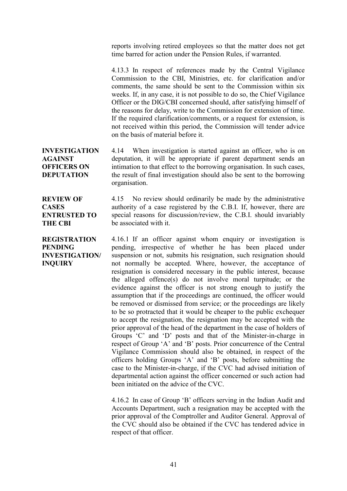reports involving retired employees so that the matter does not get time barred for action under the Pension Rules, if warranted.

4.13.3 In respect of references made by the Central Vigilance Commission to the CBI, Ministries, etc. for clarification and/or comments, the same should be sent to the Commission within six weeks. If, in any case, it is not possible to do so, the Chief Vigilance Officer or the DIG/CBI concerned should, after satisfying himself of the reasons for delay, write to the Commission for extension of time. If the required clarification/comments, or a request for extension, is not received within this period, the Commission will tender advice on the basis of material before it.

**INVESTIGATION AGAINST OFFICERS ON DEPUTATION** 4.14 When investigation is started against an officer, who is on deputation, it will be appropriate if parent department sends an intimation to that effect to the borrowing organisation. In such cases, the result of final investigation should also be sent to the borrowing organisation.

## **REVIEW OF CASES ENTRUSTED TO THE CBI**

**PENDING**

**INQUIRY**

4.15 No review should ordinarily be made by the administrative authority of a case registered by the C.B.I. If, however, there are special reasons for discussion/review, the C.B.I. should invariably be associated with it.

**REGISTRATION INVESTIGATION/** 4.16.1 If an officer against whom enquiry or investigation is pending, irrespective of whether he has been placed under suspension or not, submits his resignation, such resignation should not normally be accepted. Where, however, the acceptance of resignation is considered necessary in the public interest, because the alleged offence(s) do not involve moral turpitude; or the evidence against the officer is not strong enough to justify the assumption that if the proceedings are continued, the officer would be removed or dismissed from service; or the proceedings are likely to be so protracted that it would be cheaper to the public exchequer to accept the resignation, the resignation may be accepted with the prior approval of the head of the department in the case of holders of Groups 'C' and 'D' posts and that of the Minister-in-charge in respect of Group 'A' and 'B' posts. Prior concurrence of the Central Vigilance Commission should also be obtained, in respect of the officers holding Groups 'A' and 'B' posts, before submitting the case to the Minister-in-charge, if the CVC had advised initiation of departmental action against the officer concerned or such action had been initiated on the advice of the CVC.

> 4.16.2 In case of Group 'B' officers serving in the Indian Audit and Accounts Department, such a resignation may be accepted with the prior approval of the Comptroller and Auditor General. Approval of the CVC should also be obtained if the CVC has tendered advice in respect of that officer.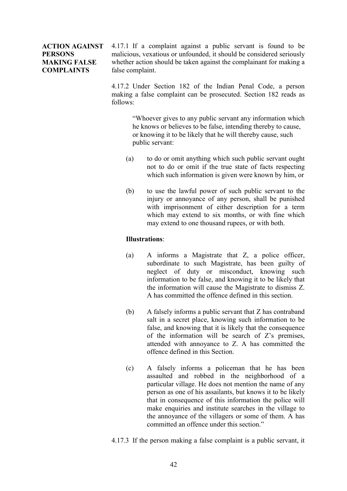## **ACTION AGAINST PERSONS MAKING FALSE COMPLAINTS**

4.17.1 If a complaint against a public servant is found to be malicious, vexatious or unfounded, it should be considered seriously whether action should be taken against the complainant for making a false complaint.

4.17.2 Under Section 182 of the Indian Penal Code, a person making a false complaint can be prosecuted. Section 182 reads as follows:

> "Whoever gives to any public servant any information which he knows or believes to be false, intending thereby to cause, or knowing it to be likely that he will thereby cause, such public servant:

- (a) to do or omit anything which such public servant ought not to do or omit if the true state of facts respecting which such information is given were known by him, or
- (b) to use the lawful power of such public servant to the injury or annoyance of any person, shall be punished with imprisonment of either description for a term which may extend to six months, or with fine which may extend to one thousand rupees, or with both.

## **Illustrations**:

- (a) A informs a Magistrate that Z, a police officer, subordinate to such Magistrate, has been guilty of neglect of duty or misconduct, knowing such information to be false, and knowing it to be likely that the information will cause the Magistrate to dismiss Z. A has committed the offence defined in this section.
- (b) A falsely informs a public servant that Z has contraband salt in a secret place, knowing such information to be false, and knowing that it is likely that the consequence of the information will be search of Z's premises, attended with annoyance to Z. A has committed the offence defined in this Section.
- (c) A falsely informs a policeman that he has been assaulted and robbed in the neighborhood of a particular village. He does not mention the name of any person as one of his assailants, but knows it to be likely that in consequence of this information the police will make enquiries and institute searches in the village to the annoyance of the villagers or some of them. A has committed an offence under this section."
- 4.17.3 If the person making a false complaint is a public servant, it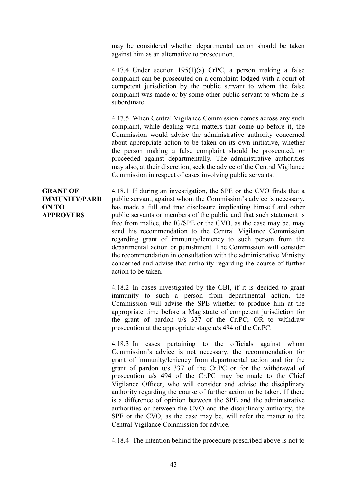may be considered whether departmental action should be taken against him as an alternative to prosecution.

4.17.4 Under section 195(1)(a) CrPC, a person making a false complaint can be prosecuted on a complaint lodged with a court of competent jurisdiction by the public servant to whom the false complaint was made or by some other public servant to whom he is subordinate.

4.17.5 When Central Vigilance Commission comes across any such complaint, while dealing with matters that come up before it, the Commission would advise the administrative authority concerned about appropriate action to be taken on its own initiative, whether the person making a false complaint should be prosecuted, or proceeded against departmentally. The administrative authorities may also, at their discretion, seek the advice of the Central Vigilance Commission in respect of cases involving public servants.

**GRANT OF IMMUNITY/PARD ON TO APPROVERS** 4.18.1 If during an investigation, the SPE or the CVO finds that a public servant, against whom the Commission's advice is necessary, has made a full and true disclosure implicating himself and other public servants or members of the public and that such statement is free from malice, the IG/SPE or the CVO, as the case may be, may send his recommendation to the Central Vigilance Commission regarding grant of immunity/leniency to such person from the departmental action or punishment. The Commission will consider the recommendation in consultation with the administrative Ministry concerned and advise that authority regarding the course of further action to be taken.

> 4.18.2 In cases investigated by the CBI, if it is decided to grant immunity to such a person from departmental action, the Commission will advise the SPE whether to produce him at the appropriate time before a Magistrate of competent jurisdiction for the grant of pardon u/s 337 of the Cr.PC; OR to withdraw prosecution at the appropriate stage u/s 494 of the Cr.PC.

> 4.18.3 In cases pertaining to the officials against whom Commission's advice is not necessary, the recommendation for grant of immunity/leniency from departmental action and for the grant of pardon u/s 337 of the Cr.PC or for the withdrawal of prosecution u/s 494 of the Cr.PC may be made to the Chief Vigilance Officer, who will consider and advise the disciplinary authority regarding the course of further action to be taken. If there is a difference of opinion between the SPE and the administrative authorities or between the CVO and the disciplinary authority, the SPE or the CVO, as the case may be, will refer the matter to the Central Vigilance Commission for advice.

> 4.18.4 The intention behind the procedure prescribed above is not to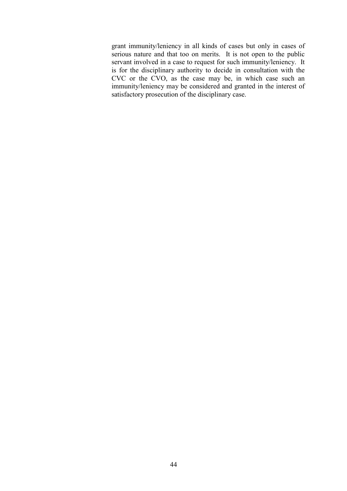grant immunity/leniency in all kinds of cases but only in cases of serious nature and that too on merits. It is not open to the public servant involved in a case to request for such immunity/leniency. It is for the disciplinary authority to decide in consultation with the CVC or the CVO, as the case may be, in which case such an immunity/leniency may be considered and granted in the interest of satisfactory prosecution of the disciplinary case.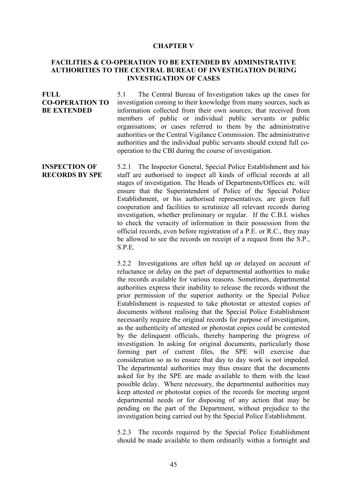#### **CHAPTER V**

### **FACILITIES & CO-OPERATION TO BE EXTENDED BY ADMINISTRATIVE AUTHORITIES TO THE CENTRAL BUREAU OF INVESTIGATION DURING INVESTIGATION OF CASES**

**FULL CO-OPERATION TO BE EXTENDED** 5.1 The Central Bureau of Investigation takes up the cases for investigation coming to their knowledge from many sources, such as information collected from their own sources; that received from members of public or individual public servants or public organisations; or cases referred to them by the administrative authorities or the Central Vigilance Commission. The administrative authorities and the individual public servants should extend full cooperation to the CBI during the course of investigation.

**INSPECTION OF RECORDS BY SPE** 5.2.1 The Inspector General, Special Police Establishment and his staff are authorised to inspect all kinds of official records at all stages of investigation. The Heads of Departments/Offices etc. will ensure that the Superintendent of Police of the Special Police Establishment, or his authorised representatives, are given full cooperation and facilities to scrutinize all relevant records during investigation, whether preliminary or regular. If the C.B.I. wishes to check the veracity of information in their possession from the official records, even before registration of a P.E. or R.C., they may be allowed to see the records on receipt of a request from the S.P., S.P.E.

> 5.2.2 Investigations are often held up or delayed on account of reluctance or delay on the part of departmental authorities to make the records available for various reasons. Sometimes, departmental authorities express their inability to release the records without the prior permission of the superior authority or the Special Police Establishment is requested to take photostat or attested copies of documents without realising that the Special Police Establishment necessarily require the original records for purpose of investigation, as the authenticity of attested or photostat copies could be contested by the delinquent officials, thereby hampering the progress of investigation. In asking for original documents, particularly those forming part of current files, the SPE will exercise due consideration so as to ensure that day to day work is not impeded. The departmental authorities may thus ensure that the documents asked for by the SPE are made available to them with the least possible delay. Where necessary, the departmental authorities may keep attested or photostat copies of the records for meeting urgent departmental needs or for disposing of any action that may be pending on the part of the Department, without prejudice to the investigation being carried out by the Special Police Establishment.

> 5.2.3 The records required by the Special Police Establishment should be made available to them ordinarily within a fortnight and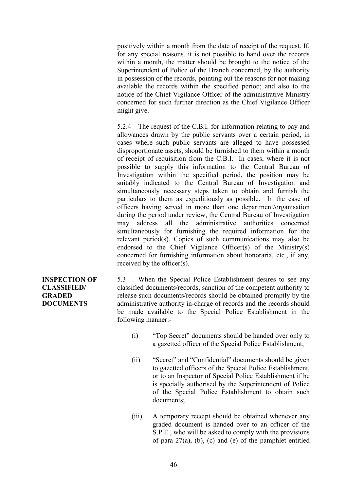positively within a month from the date of receipt of the request. If, for any special reasons, it is not possible to hand over the records within a month, the matter should be brought to the notice of the Superintendent of Police of the Branch concerned, by the authority in possession of the records, pointing out the reasons for not making available the records within the specified period; and also to the notice of the Chief Vigilance Officer of the administrative Ministry concerned for such further direction as the Chief Vigilance Officer might give.

5.2.4 The request of the C.B.I. for information relating to pay and allowances drawn by the public servants over a certain period, in cases where such public servants are alleged to have possessed disproportionate assets, should be furnished to them within a month of receipt of requisition from the C.B.I. In cases, where it is not possible to supply this information to the Central Bureau of Investigation within the specified period, the position may be suitably indicated to the Central Bureau of Investigation and simultaneously necessary steps taken to obtain and furnish the particulars to them as expeditiously as possible. In the case of officers having served in more than one department/organisation during the period under review, the Central Bureau of Investigation may address all the administrative authorities concerned simultaneously for furnishing the required information for the relevant period(s). Copies of such communications may also be endorsed to the Chief Vigilance Officer(s) of the Ministry(s) concerned for furnishing information about honoraria, etc., if any, received by the officer(s).

**INSPECTION OF CLASSIFIED/ GRADED DOCUMENTS**

5.3 When the Special Police Establishment desires to see any classified documents/records, sanction of the competent authority to release such documents/records should be obtained promptly by the administrative authority in-charge of records and the records should be made available to the Special Police Establishment in the following manner:-

- (i) "Top Secret" documents should be handed over only to a gazetted officer of the Special Police Establishment;
- (ii) "Secret" and "Confidential" documents should be given to gazetted officers of the Special Police Establishment, or to an Inspector of Special Police Establishment if he is specially authorised by the Superintendent of Police of the Special Police Establishment to obtain such documents;
- (iii) A temporary receipt should be obtained whenever any graded document is handed over to an officer of the S.P.E., who will be asked to comply with the provisions of para  $27(a)$ , (b), (c) and (e) of the pamphlet entitled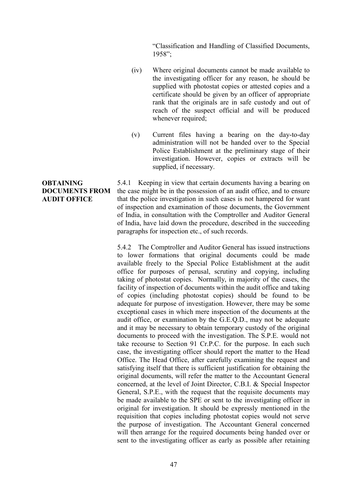"Classification and Handling of Classified Documents, 1958";

- (iv) Where original documents cannot be made available to the investigating officer for any reason, he should be supplied with photostat copies or attested copies and a certificate should be given by an officer of appropriate rank that the originals are in safe custody and out of reach of the suspect official and will be produced whenever required;
- (v) Current files having a bearing on the day-to-day administration will not be handed over to the Special Police Establishment at the preliminary stage of their investigation. However, copies or extracts will be supplied, if necessary.

**OBTAINING DOCUMENTS FROM AUDIT OFFICE** 5.4.1 Keeping in view that certain documents having a bearing on the case might be in the possession of an audit office, and to ensure that the police investigation in such cases is not hampered for want of inspection and examination of those documents, the Government of India, in consultation with the Comptroller and Auditor General of India, have laid down the procedure, described in the succeeding paragraphs for inspection etc., of such records.

> 5.4.2 The Comptroller and Auditor General has issued instructions to lower formations that original documents could be made available freely to the Special Police Establishment at the audit office for purposes of perusal, scrutiny and copying, including taking of photostat copies. Normally, in majority of the cases, the facility of inspection of documents within the audit office and taking of copies (including photostat copies) should be found to be adequate for purpose of investigation. However, there may be some exceptional cases in which mere inspection of the documents at the audit office, or examination by the G.E.Q.D., may not be adequate and it may be necessary to obtain temporary custody of the original documents to proceed with the investigation. The S.P.E. would not take recourse to Section 91 Cr.P.C. for the purpose. In each such case, the investigating officer should report the matter to the Head Office. The Head Office, after carefully examining the request and satisfying itself that there is sufficient justification for obtaining the original documents, will refer the matter to the Accountant General concerned, at the level of Joint Director, C.B.I. & Special Inspector General, S.P.E., with the request that the requisite documents may be made available to the SPE or sent to the investigating officer in original for investigation. It should be expressly mentioned in the requisition that copies including photostat copies would not serve the purpose of investigation. The Accountant General concerned will then arrange for the required documents being handed over or sent to the investigating officer as early as possible after retaining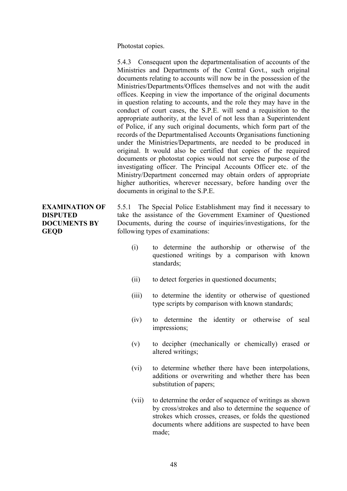Photostat copies.

5.4.3 Consequent upon the departmentalisation of accounts of the Ministries and Departments of the Central Govt., such original documents relating to accounts will now be in the possession of the Ministries/Departments/Offices themselves and not with the audit offices. Keeping in view the importance of the original documents in question relating to accounts, and the role they may have in the conduct of court cases, the S.P.E. will send a requisition to the appropriate authority, at the level of not less than a Superintendent of Police, if any such original documents, which form part of the records of the Departmentalised Accounts Organisations functioning under the Ministries/Departments, are needed to be produced in original. It would also be certified that copies of the required documents or photostat copies would not serve the purpose of the investigating officer. The Principal Accounts Officer etc. of the Ministry/Department concerned may obtain orders of appropriate higher authorities, wherever necessary, before handing over the documents in original to the S.P.E.

# **EXAMINATION OF DISPUTED DOCUMENTS BY GEQD**

5.5.1 The Special Police Establishment may find it necessary to take the assistance of the Government Examiner of Questioned Documents, during the course of inquiries/investigations, for the following types of examinations:

- (i) to determine the authorship or otherwise of the questioned writings by a comparison with known standards;
- (ii) to detect forgeries in questioned documents;
- (iii) to determine the identity or otherwise of questioned type scripts by comparison with known standards;
- (iv) to determine the identity or otherwise of seal impressions;
- (v) to decipher (mechanically or chemically) erased or altered writings;
- (vi) to determine whether there have been interpolations, additions or overwriting and whether there has been substitution of papers;
- (vii) to determine the order of sequence of writings as shown by cross/strokes and also to determine the sequence of strokes which crosses, creases, or folds the questioned documents where additions are suspected to have been made;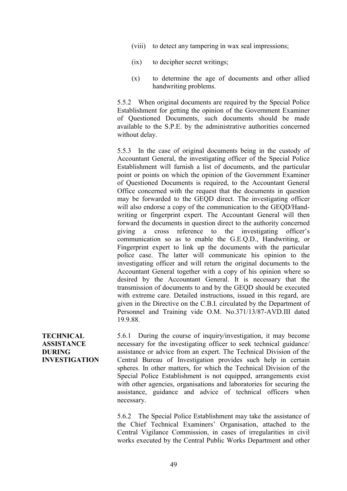- (viii) to detect any tampering in wax seal impressions;
- (ix) to decipher secret writings;
- (x) to determine the age of documents and other allied handwriting problems.

5.5.2 When original documents are required by the Special Police Establishment for getting the opinion of the Government Examiner of Questioned Documents, such documents should be made available to the S.P.E. by the administrative authorities concerned without delay.

5.5.3 In the case of original documents being in the custody of Accountant General, the investigating officer of the Special Police Establishment will furnish a list of documents, and the particular point or points on which the opinion of the Government Examiner of Questioned Documents is required, to the Accountant General Office concerned with the request that the documents in question may be forwarded to the GEQD direct. The investigating officer will also endorse a copy of the communication to the GEQD/Handwriting or fingerprint expert. The Accountant General will then forward the documents in question direct to the authority concerned giving a cross reference to the investigating officer's communication so as to enable the G.E.Q.D., Handwriting, or Fingerprint expert to link up the documents with the particular police case. The latter will communicate his opinion to the investigating officer and will return the original documents to the Accountant General together with a copy of his opinion where so desired by the Accountant General. It is necessary that the transmission of documents to and by the GEQD should be executed with extreme care. Detailed instructions, issued in this regard, are given in the Directive on the C.B.I. circulated by the Department of Personnel and Training vide O.M. No.371/13/87-AVD.III dated 19.9.88.

**TECHNICAL ASSISTANCE DURING INVESTIGATION** 5.6.1 During the course of inquiry/investigation, it may become necessary for the investigating officer to seek technical guidance/ assistance or advice from an expert. The Technical Division of the Central Bureau of Investigation provides such help in certain spheres. In other matters, for which the Technical Division of the Special Police Establishment is not equipped, arrangements exist with other agencies, organisations and laboratories for securing the assistance, guidance and advice of technical officers when necessary.

5.6.2 The Special Police Establishment may take the assistance of the Chief Technical Examiners' Organisation, attached to the Central Vigilance Commission, in cases of irregularities in civil works executed by the Central Public Works Department and other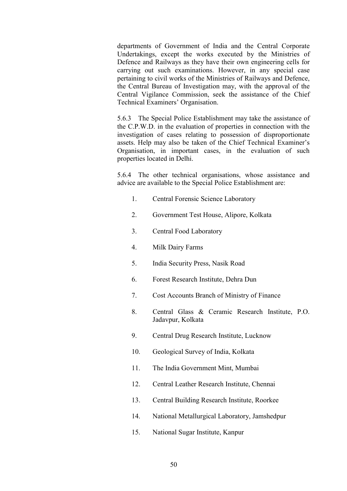departments of Government of India and the Central Corporate Undertakings, except the works executed by the Ministries of Defence and Railways as they have their own engineering cells for carrying out such examinations. However, in any special case pertaining to civil works of the Ministries of Railways and Defence, the Central Bureau of Investigation may, with the approval of the Central Vigilance Commission, seek the assistance of the Chief Technical Examiners' Organisation.

5.6.3 The Special Police Establishment may take the assistance of the C.P.W.D. in the evaluation of properties in connection with the investigation of cases relating to possession of disproportionate assets. Help may also be taken of the Chief Technical Examiner's Organisation, in important cases, in the evaluation of such properties located in Delhi.

5.6.4 The other technical organisations, whose assistance and advice are available to the Special Police Establishment are:

- 1. Central Forensic Science Laboratory
- 2. Government Test House, Alipore, Kolkata
- 3. Central Food Laboratory
- 4. Milk Dairy Farms
- 5. India Security Press, Nasik Road
- 6. Forest Research Institute, Dehra Dun
- 7. Cost Accounts Branch of Ministry of Finance
- 8. Central Glass & Ceramic Research Institute, P.O. Jadavpur, Kolkata
- 9. Central Drug Research Institute, Lucknow
- 10. Geological Survey of India, Kolkata
- 11. The India Government Mint, Mumbai
- 12. Central Leather Research Institute, Chennai
- 13. Central Building Research Institute, Roorkee
- 14. National Metallurgical Laboratory, Jamshedpur
- 15. National Sugar Institute, Kanpur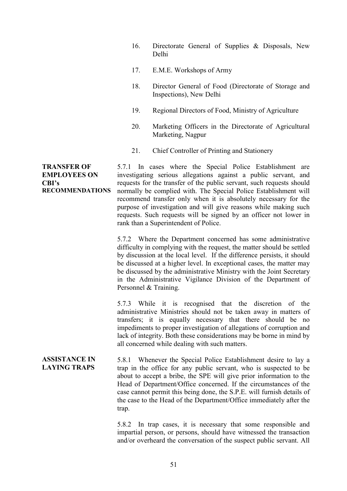- 16. Directorate General of Supplies & Disposals, New Delhi
- 17. E.M.E. Workshops of Army
- 18. Director General of Food (Directorate of Storage and Inspections), New Delhi
- 19. Regional Directors of Food, Ministry of Agriculture
- 20. Marketing Officers in the Directorate of Agricultural Marketing, Nagpur
- 21. Chief Controller of Printing and Stationery

5.7.1 In cases where the Special Police Establishment are investigating serious allegations against a public servant, and requests for the transfer of the public servant, such requests should normally be complied with. The Special Police Establishment will recommend transfer only when it is absolutely necessary for the purpose of investigation and will give reasons while making such requests. Such requests will be signed by an officer not lower in rank than a Superintendent of Police.

> 5.7.2 Where the Department concerned has some administrative difficulty in complying with the request, the matter should be settled by discussion at the local level. If the difference persists, it should be discussed at a higher level. In exceptional cases, the matter may be discussed by the administrative Ministry with the Joint Secretary in the Administrative Vigilance Division of the Department of Personnel & Training.

> 5.7.3 While it is recognised that the discretion of the administrative Ministries should not be taken away in matters of transfers; it is equally necessary that there should be no impediments to proper investigation of allegations of corruption and lack of integrity. Both these considerations may be borne in mind by all concerned while dealing with such matters.

**ASSISTANCE IN LAYING TRAPS** 5.8.1 Whenever the Special Police Establishment desire to lay a trap in the office for any public servant, who is suspected to be about to accept a bribe, the SPE will give prior information to the Head of Department/Office concerned. If the circumstances of the case cannot permit this being done, the S.P.E. will furnish details of the case to the Head of the Department/Office immediately after the trap.

> 5.8.2 In trap cases, it is necessary that some responsible and impartial person, or persons, should have witnessed the transaction and/or overheard the conversation of the suspect public servant. All

**TRANSFER OF EMPLOYEES ON CBI's RECOMMENDATIONS**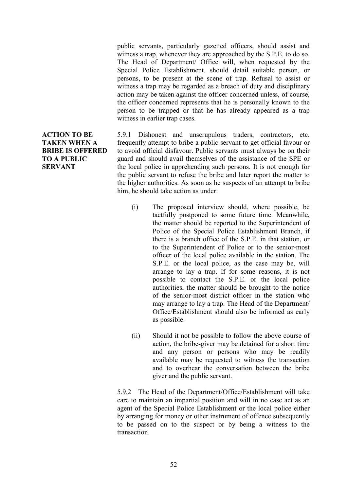public servants, particularly gazetted officers, should assist and witness a trap, whenever they are approached by the S.P.E. to do so. The Head of Department/ Office will, when requested by the Special Police Establishment, should detail suitable person, or persons, to be present at the scene of trap. Refusal to assist or witness a trap may be regarded as a breach of duty and disciplinary action may be taken against the officer concerned unless, of course, the officer concerned represents that he is personally known to the person to be trapped or that he has already appeared as a trap witness in earlier trap cases.

5.9.1 Dishonest and unscrupulous traders, contractors, etc. frequently attempt to bribe a public servant to get official favour or to avoid official disfavour. Public servants must always be on their guard and should avail themselves of the assistance of the SPE or the local police in apprehending such persons. It is not enough for the public servant to refuse the bribe and later report the matter to the higher authorities. As soon as he suspects of an attempt to bribe him, he should take action as under:

- (i) The proposed interview should, where possible, be tactfully postponed to some future time. Meanwhile, the matter should be reported to the Superintendent of Police of the Special Police Establishment Branch, if there is a branch office of the S.P.E. in that station, or to the Superintendent of Police or to the senior-most officer of the local police available in the station. The S.P.E. or the local police, as the case may be, will arrange to lay a trap. If for some reasons, it is not possible to contact the S.P.E. or the local police authorities, the matter should be brought to the notice of the senior-most district officer in the station who may arrange to lay a trap. The Head of the Department/ Office/Establishment should also be informed as early as possible.
- (ii) Should it not be possible to follow the above course of action, the bribe-giver may be detained for a short time and any person or persons who may be readily available may be requested to witness the transaction and to overhear the conversation between the bribe giver and the public servant.

5.9.2 The Head of the Department/Office/Establishment will take care to maintain an impartial position and will in no case act as an agent of the Special Police Establishment or the local police either by arranging for money or other instrument of offence subsequently to be passed on to the suspect or by being a witness to the transaction.

# **ACTION TO BE TAKEN WHEN A BRIBE IS OFFERED TO A PUBLIC SERVANT**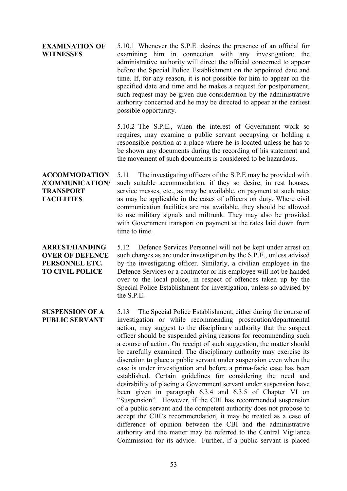#### **EXAMINATION OF WITNESSES**

5.10.1 Whenever the S.P.E. desires the presence of an official for examining him in connection with any investigation; the administrative authority will direct the official concerned to appear before the Special Police Establishment on the appointed date and time. If, for any reason, it is not possible for him to appear on the specified date and time and he makes a request for postponement, such request may be given due consideration by the administrative authority concerned and he may be directed to appear at the earliest possible opportunity.

5.10.2 The S.P.E., when the interest of Government work so requires, may examine a public servant occupying or holding a responsible position at a place where he is located unless he has to be shown any documents during the recording of his statement and the movement of such documents is considered to be hazardous.

**ACCOMMODATION /COMMUNICATION/ TRANSPORT FACILITIES** 5.11 The investigating officers of the S.P.E may be provided with such suitable accommodation, if they so desire, in rest houses, service messes, etc., as may be available, on payment at such rates as may be applicable in the cases of officers on duty. Where civil communication facilities are not available, they should be allowed to use military signals and miltrunk. They may also be provided with Government transport on payment at the rates laid down from time to time.

**ARREST/HANDING OVER OF DEFENCE PERSONNEL ETC. TO CIVIL POLICE** 5.12 Defence Services Personnel will not be kept under arrest on such charges as are under investigation by the S.P.E., unless advised by the investigating officer. Similarly, a civilian employee in the Defence Services or a contractor or his employee will not be handed over to the local police, in respect of offences taken up by the Special Police Establishment for investigation, unless so advised by the S.P.E.

**SUSPENSION OF A PUBLIC SERVANT** 5.13 The Special Police Establishment, either during the course of investigation or while recommending prosecution/departmental action, may suggest to the disciplinary authority that the suspect officer should be suspended giving reasons for recommending such a course of action. On receipt of such suggestion, the matter should be carefully examined. The disciplinary authority may exercise its discretion to place a public servant under suspension even when the case is under investigation and before a prima-facie case has been established. Certain guidelines for considering the need and desirability of placing a Government servant under suspension have been given in paragraph 6.3.4 and 6.3.5 of Chapter VI on "Suspension". However, if the CBI has recommended suspension of a public servant and the competent authority does not propose to accept the CBI's recommendation, it may be treated as a case of difference of opinion between the CBI and the administrative authority and the matter may be referred to the Central Vigilance Commission for its advice. Further, if a public servant is placed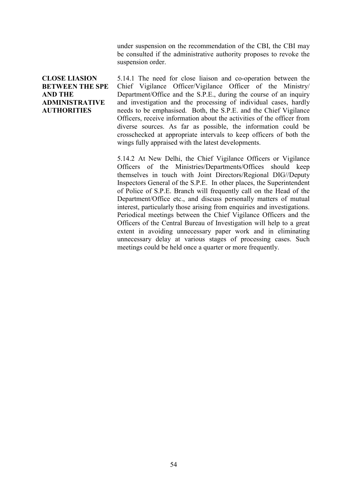under suspension on the recommendation of the CBI, the CBI may be consulted if the administrative authority proposes to revoke the suspension order.

## **CLOSE LIASION BETWEEN THE SPE AND THE ADMINISTRATIVE AUTHORITIES**

5.14.1 The need for close liaison and co-operation between the Chief Vigilance Officer/Vigilance Officer of the Ministry/ Department/Office and the S.P.E., during the course of an inquiry and investigation and the processing of individual cases, hardly needs to be emphasised. Both, the S.P.E. and the Chief Vigilance Officers, receive information about the activities of the officer from diverse sources. As far as possible, the information could be crosschecked at appropriate intervals to keep officers of both the wings fully appraised with the latest developments.

5.14.2 At New Delhi, the Chief Vigilance Officers or Vigilance Officers of the Ministries/Departments/Offices should keep themselves in touch with Joint Directors/Regional DIG//Deputy Inspectors General of the S.P.E. In other places, the Superintendent of Police of S.P.E. Branch will frequently call on the Head of the Department/Office etc., and discuss personally matters of mutual interest, particularly those arising from enquiries and investigations. Periodical meetings between the Chief Vigilance Officers and the Officers of the Central Bureau of Investigation will help to a great extent in avoiding unnecessary paper work and in eliminating unnecessary delay at various stages of processing cases. Such meetings could be held once a quarter or more frequently.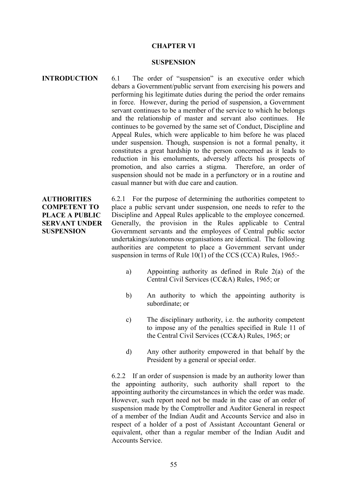#### **CHAPTER VI**

#### **SUSPENSION**

### **INTRODUCTION** 6.1 The order of "suspension" is an executive order which debars a Government/public servant from exercising his powers and performing his legitimate duties during the period the order remains in force. However, during the period of suspension, a Government servant continues to be a member of the service to which he belongs and the relationship of master and servant also continues. He continues to be governed by the same set of Conduct, Discipline and Appeal Rules, which were applicable to him before he was placed under suspension. Though, suspension is not a formal penalty, it constitutes a great hardship to the person concerned as it leads to reduction in his emoluments, adversely affects his prospects of promotion, and also carries a stigma. Therefore, an order of suspension should not be made in a perfunctory or in a routine and casual manner but with due care and caution.

## **AUTHORITIES COMPETENT TO PLACE A PUBLIC SERVANT UNDER SUSPENSION**

6.2.1 For the purpose of determining the authorities competent to place a public servant under suspension, one needs to refer to the Discipline and Appeal Rules applicable to the employee concerned. Generally, the provision in the Rules applicable to Central Government servants and the employees of Central public sector undertakings/autonomous organisations are identical. The following authorities are competent to place a Government servant under suspension in terms of Rule 10(1) of the CCS (CCA) Rules, 1965:-

- a) Appointing authority as defined in Rule 2(a) of the Central Civil Services (CC&A) Rules, 1965; or
- b) An authority to which the appointing authority is subordinate; or
- c) The disciplinary authority, i.e. the authority competent to impose any of the penalties specified in Rule 11 of the Central Civil Services (CC&A) Rules, 1965; or
- d) Any other authority empowered in that behalf by the President by a general or special order.

6.2.2 If an order of suspension is made by an authority lower than the appointing authority, such authority shall report to the appointing authority the circumstances in which the order was made. However, such report need not be made in the case of an order of suspension made by the Comptroller and Auditor General in respect of a member of the Indian Audit and Accounts Service and also in respect of a holder of a post of Assistant Accountant General or equivalent, other than a regular member of the Indian Audit and Accounts Service.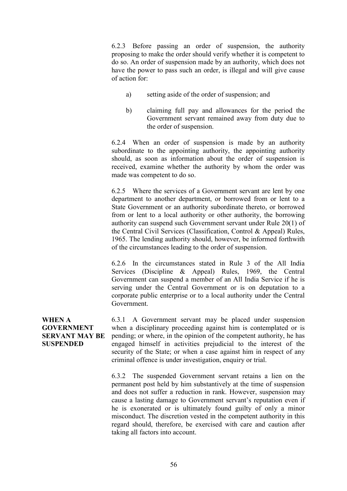6.2.3 Before passing an order of suspension, the authority proposing to make the order should verify whether it is competent to do so. An order of suspension made by an authority, which does not have the power to pass such an order, is illegal and will give cause of action for:

- a) setting aside of the order of suspension; and
- b) claiming full pay and allowances for the period the Government servant remained away from duty due to the order of suspension.

6.2.4 When an order of suspension is made by an authority subordinate to the appointing authority, the appointing authority should, as soon as information about the order of suspension is received, examine whether the authority by whom the order was made was competent to do so.

6.2.5 Where the services of a Government servant are lent by one department to another department, or borrowed from or lent to a State Government or an authority subordinate thereto, or borrowed from or lent to a local authority or other authority, the borrowing authority can suspend such Government servant under Rule 20(1) of the Central Civil Services (Classification, Control & Appeal) Rules, 1965. The lending authority should, however, be informed forthwith of the circumstances leading to the order of suspension.

6.2.6 In the circumstances stated in Rule 3 of the All India Services (Discipline & Appeal) Rules, 1969, the Central Government can suspend a member of an All India Service if he is serving under the Central Government or is on deputation to a corporate public enterprise or to a local authority under the Central Government.

**WHEN A GOVERNMENT SERVANT MAY BE SUSPENDED** 6.3.1 A Government servant may be placed under suspension when a disciplinary proceeding against him is contemplated or is pending; or where, in the opinion of the competent authority, he has engaged himself in activities prejudicial to the interest of the security of the State; or when a case against him in respect of any criminal offence is under investigation, enquiry or trial.

> 6.3.2 The suspended Government servant retains a lien on the permanent post held by him substantively at the time of suspension and does not suffer a reduction in rank. However, suspension may cause a lasting damage to Government servant's reputation even if he is exonerated or is ultimately found guilty of only a minor misconduct. The discretion vested in the competent authority in this regard should, therefore, be exercised with care and caution after taking all factors into account.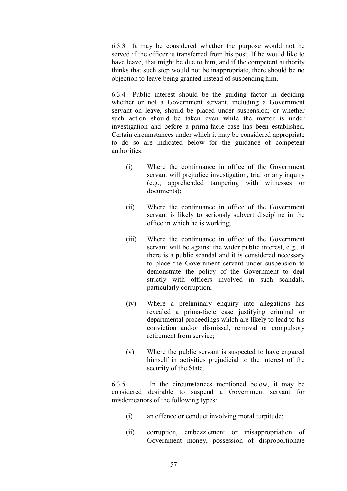6.3.3 It may be considered whether the purpose would not be served if the officer is transferred from his post. If he would like to have leave, that might be due to him, and if the competent authority thinks that such step would not be inappropriate, there should be no objection to leave being granted instead of suspending him.

6.3.4 Public interest should be the guiding factor in deciding whether or not a Government servant, including a Government servant on leave, should be placed under suspension; or whether such action should be taken even while the matter is under investigation and before a prima-facie case has been established. Certain circumstances under which it may be considered appropriate to do so are indicated below for the guidance of competent authorities:

- (i) Where the continuance in office of the Government servant will prejudice investigation, trial or any inquiry (e.g., apprehended tampering with witnesses or documents);
- (ii) Where the continuance in office of the Government servant is likely to seriously subvert discipline in the office in which he is working;
- (iii) Where the continuance in office of the Government servant will be against the wider public interest, e.g., if there is a public scandal and it is considered necessary to place the Government servant under suspension to demonstrate the policy of the Government to deal strictly with officers involved in such scandals, particularly corruption;
- (iv) Where a preliminary enquiry into allegations has revealed a prima-facie case justifying criminal or departmental proceedings which are likely to lead to his conviction and/or dismissal, removal or compulsory retirement from service;
- (v) Where the public servant is suspected to have engaged himself in activities prejudicial to the interest of the security of the State.

6.3.5 In the circumstances mentioned below, it may be considered desirable to suspend a Government servant for misdemeanors of the following types:

- (i) an offence or conduct involving moral turpitude;
- (ii) corruption, embezzlement or misappropriation of Government money, possession of disproportionate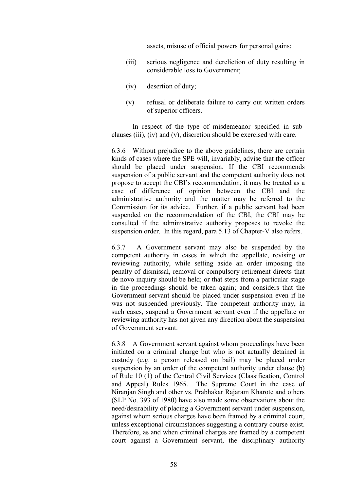assets, misuse of official powers for personal gains;

- (iii) serious negligence and dereliction of duty resulting in considerable loss to Government;
- (iv) desertion of duty;
- (v) refusal or deliberate failure to carry out written orders of superior officers.

In respect of the type of misdemeanor specified in subclauses (iii), (iv) and (v), discretion should be exercised with care.

6.3.6 Without prejudice to the above guidelines, there are certain kinds of cases where the SPE will, invariably, advise that the officer should be placed under suspension. If the CBI recommends suspension of a public servant and the competent authority does not propose to accept the CBI's recommendation, it may be treated as a case of difference of opinion between the CBI and the administrative authority and the matter may be referred to the Commission for its advice. Further, if a public servant had been suspended on the recommendation of the CBI, the CBI may be consulted if the administrative authority proposes to revoke the suspension order. In this regard, para 5.13 of Chapter-V also refers.

6.3.7 A Government servant may also be suspended by the competent authority in cases in which the appellate, revising or reviewing authority, while setting aside an order imposing the penalty of dismissal, removal or compulsory retirement directs that de novo inquiry should be held; or that steps from a particular stage in the proceedings should be taken again; and considers that the Government servant should be placed under suspension even if he was not suspended previously. The competent authority may, in such cases, suspend a Government servant even if the appellate or reviewing authority has not given any direction about the suspension of Government servant.

6.3.8 A Government servant against whom proceedings have been initiated on a criminal charge but who is not actually detained in custody (e.g. a person released on bail) may be placed under suspension by an order of the competent authority under clause (b) of Rule 10 (1) of the Central Civil Services (Classification, Control and Appeal) Rules 1965. The Supreme Court in the case of Niranjan Singh and other vs. Prabhakar Rajaram Kharote and others (SLP No. 393 of 1980) have also made some observations about the need/desirability of placing a Government servant under suspension, against whom serious charges have been framed by a criminal court, unless exceptional circumstances suggesting a contrary course exist. Therefore, as and when criminal charges are framed by a competent court against a Government servant, the disciplinary authority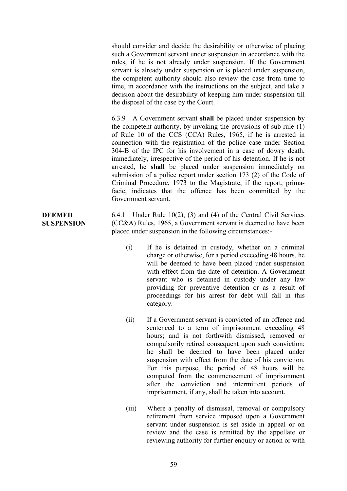should consider and decide the desirability or otherwise of placing such a Government servant under suspension in accordance with the rules, if he is not already under suspension. If the Government servant is already under suspension or is placed under suspension, the competent authority should also review the case from time to time, in accordance with the instructions on the subject, and take a decision about the desirability of keeping him under suspension till the disposal of the case by the Court.

6.3.9 A Government servant **shall** be placed under suspension by the competent authority, by invoking the provisions of sub-rule (1) of Rule 10 of the CCS (CCA) Rules, 1965, if he is arrested in connection with the registration of the police case under Section 304-B of the IPC for his involvement in a case of dowry death, immediately, irrespective of the period of his detention. If he is not arrested, he **shall** be placed under suspension immediately on submission of a police report under section 173 (2) of the Code of Criminal Procedure, 1973 to the Magistrate, if the report, primafacie, indicates that the offence has been committed by the Government servant.

6.4.1 Under Rule 10(2), (3) and (4) of the Central Civil Services (CC&A) Rules, 1965, a Government servant is deemed to have been placed under suspension in the following circumstances:-

- (i) If he is detained in custody, whether on a criminal charge or otherwise, for a period exceeding 48 hours, he will be deemed to have been placed under suspension with effect from the date of detention. A Government servant who is detained in custody under any law providing for preventive detention or as a result of proceedings for his arrest for debt will fall in this category.
- (ii) If a Government servant is convicted of an offence and sentenced to a term of imprisonment exceeding 48 hours; and is not forthwith dismissed, removed or compulsorily retired consequent upon such conviction; he shall be deemed to have been placed under suspension with effect from the date of his conviction. For this purpose, the period of 48 hours will be computed from the commencement of imprisonment after the conviction and intermittent periods of imprisonment, if any, shall be taken into account.
- (iii) Where a penalty of dismissal, removal or compulsory retirement from service imposed upon a Government servant under suspension is set aside in appeal or on review and the case is remitted by the appellate or reviewing authority for further enquiry or action or with

## **DEEMED SUSPENSION**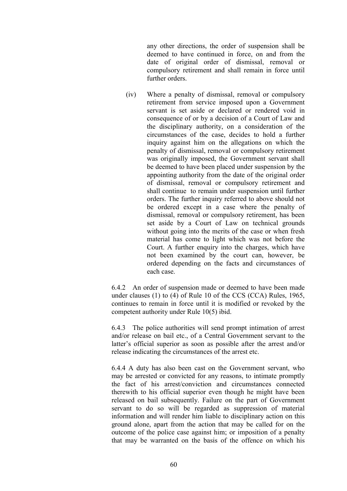any other directions, the order of suspension shall be deemed to have continued in force, on and from the date of original order of dismissal, removal or compulsory retirement and shall remain in force until further orders.

(iv) Where a penalty of dismissal, removal or compulsory retirement from service imposed upon a Government servant is set aside or declared or rendered void in consequence of or by a decision of a Court of Law and the disciplinary authority, on a consideration of the circumstances of the case, decides to hold a further inquiry against him on the allegations on which the penalty of dismissal, removal or compulsory retirement was originally imposed, the Government servant shall be deemed to have been placed under suspension by the appointing authority from the date of the original order of dismissal, removal or compulsory retirement and shall continue to remain under suspension until further orders. The further inquiry referred to above should not be ordered except in a case where the penalty of dismissal, removal or compulsory retirement, has been set aside by a Court of Law on technical grounds without going into the merits of the case or when fresh material has come to light which was not before the Court. A further enquiry into the charges, which have not been examined by the court can, however, be ordered depending on the facts and circumstances of each case.

6.4.2 An order of suspension made or deemed to have been made under clauses (1) to (4) of Rule 10 of the CCS (CCA) Rules, 1965, continues to remain in force until it is modified or revoked by the competent authority under Rule 10(5) ibid.

6.4.3 The police authorities will send prompt intimation of arrest and/or release on bail etc., of a Central Government servant to the latter's official superior as soon as possible after the arrest and/or release indicating the circumstances of the arrest etc.

6.4.4 A duty has also been cast on the Government servant, who may be arrested or convicted for any reasons, to intimate promptly the fact of his arrest/conviction and circumstances connected therewith to his official superior even though he might have been released on bail subsequently. Failure on the part of Government servant to do so will be regarded as suppression of material information and will render him liable to disciplinary action on this ground alone, apart from the action that may be called for on the outcome of the police case against him; or imposition of a penalty that may be warranted on the basis of the offence on which his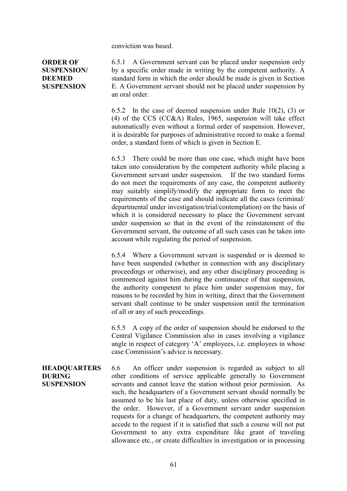conviction was based.

**ORDER OF SUSPENSION/ DEEMED SUSPENSION**

6.5.1 A Government servant can be placed under suspension only by a specific order made in writing by the competent authority. A standard form in which the order should be made is given in Section E. A Government servant should not be placed under suspension by an oral order.

6.5.2 In the case of deemed suspension under Rule 10(2), (3) or (4) of the CCS (CC&A) Rules, 1965, suspension will take effect automatically even without a formal order of suspension. However, it is desirable for purposes of administrative record to make a formal order, a standard form of which is given in Section E.

6.5.3 There could be more than one case, which might have been taken into consideration by the competent authority while placing a Government servant under suspension. If the two standard forms do not meet the requirements of any case, the competent authority may suitably simplify/modify the appropriate form to meet the requirements of the case and should indicate all the cases (criminal/ departmental under investigation/trial/contemplation) on the basis of which it is considered necessary to place the Government servant under suspension so that in the event of the reinstatement of the Government servant, the outcome of all such cases can be taken into account while regulating the period of suspension.

6.5.4 Where a Government servant is suspended or is deemed to have been suspended (whether in connection with any disciplinary proceedings or otherwise), and any other disciplinary proceeding is commenced against him during the continuance of that suspension, the authority competent to place him under suspension may, for reasons to be recorded by him in writing, direct that the Government servant shall continue to be under suspension until the termination of all or any of such proceedings.

6.5.5 A copy of the order of suspension should be endorsed to the Central Vigilance Commission also in cases involving a vigilance angle in respect of category 'A' employees, i.e. employees in whose case Commission's advice is necessary.

**HEADQUARTERS DURING SUSPENSION** 6.6 An officer under suspension is regarded as subject to all other conditions of service applicable generally to Government servants and cannot leave the station without prior permission. As such, the headquarters of a Government servant should normally be assumed to be his last place of duty, unless otherwise specified in the order. However, if a Government servant under suspension requests for a change of headquarters, the competent authority may accede to the request if it is satisfied that such a course will not put Government to any extra expenditure like grant of traveling allowance etc., or create difficulties in investigation or in processing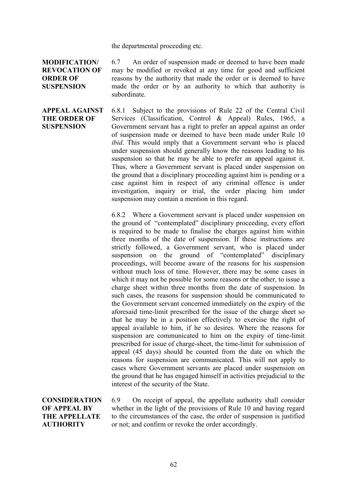the departmental proceeding etc.

**MODIFICATION/ REVOCATION OF ORDER OF SUSPENSION**

6.7 An order of suspension made or deemed to have been made may be modified or revoked at any time for good and sufficient reasons by the authority that made the order or is deemed to have made the order or by an authority to which that authority is subordinate.

**APPEAL AGAINST THE ORDER OF SUSPENSION** 6.8.1 Subject to the provisions of Rule 22 of the Central Civil Services (Classification, Control & Appeal) Rules, 1965, a Government servant has a right to prefer an appeal against an order of suspension made or deemed to have been made under Rule 10 *ibid*. This would imply that a Government servant who is placed under suspension should generally know the reasons leading to his suspension so that he may be able to prefer an appeal against it. Thus, where a Government servant is placed under suspension on the ground that a disciplinary proceeding against him is pending or a case against him in respect of any criminal offence is under investigation, inquiry or trial, the order placing him under suspension may contain a mention in this regard.

> 6.8.2 Where a Government servant is placed under suspension on the ground of "contemplated" disciplinary proceeding, every effort is required to be made to finalise the charges against him within three months of the date of suspension. If these instructions are strictly followed, a Government servant, who is placed under suspension on the ground of "contemplated" disciplinary proceedings, will become aware of the reasons for his suspension without much loss of time. However, there may be some cases in which it may not be possible for some reasons or the other, to issue a charge sheet within three months from the date of suspension. In such cases, the reasons for suspension should be communicated to the Government servant concerned immediately on the expiry of the aforesaid time-limit prescribed for the issue of the charge sheet so that he may be in a position effectively to exercise the right of appeal available to him, if he so desires. Where the reasons for suspension are communicated to him on the expiry of time-limit prescribed for issue of charge-sheet, the time-limit for submission of appeal (45 days) should be counted from the date on which the reasons for suspension are communicated. This will not apply to cases where Government servants are placed under suspension on the ground that he has engaged himself in activities prejudicial to the interest of the security of the State.

**CONSIDERATION OF APPEAL BY THE APPELLATE AUTHORITY**

6.9 On receipt of appeal, the appellate authority shall consider whether in the light of the provisions of Rule 10 and having regard to the circumstances of the case, the order of suspension is justified or not; and confirm or revoke the order accordingly.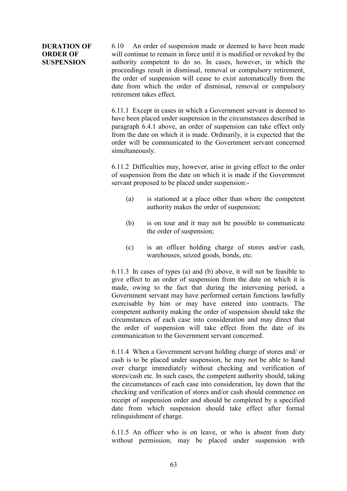# **DURATION OF ORDER OF SUSPENSION**

6.10 An order of suspension made or deemed to have been made will continue to remain in force until it is modified or revoked by the authority competent to do so. In cases, however, in which the proceedings result in dismissal, removal or compulsory retirement, the order of suspension will cease to exist automatically from the date from which the order of dismissal, removal or compulsory retirement takes effect.

6.11.1 Except in cases in which a Government servant is deemed to have been placed under suspension in the circumstances described in paragraph 6.4.1 above, an order of suspension can take effect only from the date on which it is made. Ordinarily, it is expected that the order will be communicated to the Government servant concerned simultaneously.

6.11.2 Difficulties may, however, arise in giving effect to the order of suspension from the date on which it is made if the Government servant proposed to be placed under suspension:-

- (a) is stationed at a place other than where the competent authority makes the order of suspension;
- (b) is on tour and it may not be possible to communicate the order of suspension;
- (c) is an officer holding charge of stores and/or cash, warehouses, seized goods, bonds, etc.

6.11.3 In cases of types (a) and (b) above, it will not be feasible to give effect to an order of suspension from the date on which it is made, owing to the fact that during the intervening period, a Government servant may have performed certain functions lawfully exercisable by him or may have entered into contracts. The competent authority making the order of suspension should take the circumstances of each case into consideration and may direct that the order of suspension will take effect from the date of its communication to the Government servant concerned.

6.11.4 When a Government servant holding charge of stores and/ or cash is to be placed under suspension, he may not be able to hand over charge immediately without checking and verification of stores/cash etc. In such cases, the competent authority should, taking the circumstances of each case into consideration, lay down that the checking and verification of stores and/or cash should commence on receipt of suspension order and should be completed by a specified date from which suspension should take effect after formal relinquishment of charge.

6.11.5 An officer who is on leave, or who is absent from duty without permission, may be placed under suspension with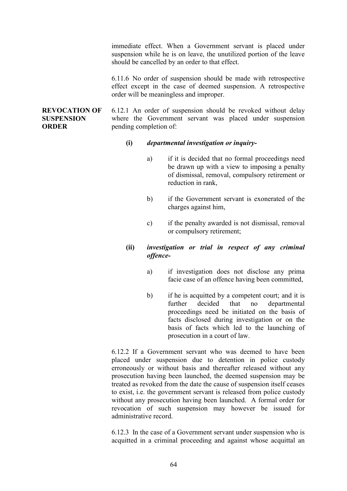immediate effect. When a Government servant is placed under suspension while he is on leave, the unutilized portion of the leave should be cancelled by an order to that effect.

6.11.6 No order of suspension should be made with retrospective effect except in the case of deemed suspension. A retrospective order will be meaningless and improper.

## **REVOCATION OF SUSPENSION ORDER**

6.12.1 An order of suspension should be revoked without delay where the Government servant was placed under suspension pending completion of:

## **(i)** *departmental investigation or inquiry-*

- a) if it is decided that no formal proceedings need be drawn up with a view to imposing a penalty of dismissal, removal, compulsory retirement or reduction in rank
- b) if the Government servant is exonerated of the charges against him,
- c) if the penalty awarded is not dismissal, removal or compulsory retirement;

# **(ii)** *investigation or trial in respect of any criminal offence-*

- a) if investigation does not disclose any prima facie case of an offence having been committed,
- b) if he is acquitted by a competent court; and it is further decided that no departmental proceedings need be initiated on the basis of facts disclosed during investigation or on the basis of facts which led to the launching of prosecution in a court of law.

6.12.2 If a Government servant who was deemed to have been placed under suspension due to detention in police custody erroneously or without basis and thereafter released without any prosecution having been launched, the deemed suspension may be treated as revoked from the date the cause of suspension itself ceases to exist, i.e. the government servant is released from police custody without any prosecution having been launched. A formal order for revocation of such suspension may however be issued for administrative record.

6.12.3 In the case of a Government servant under suspension who is acquitted in a criminal proceeding and against whose acquittal an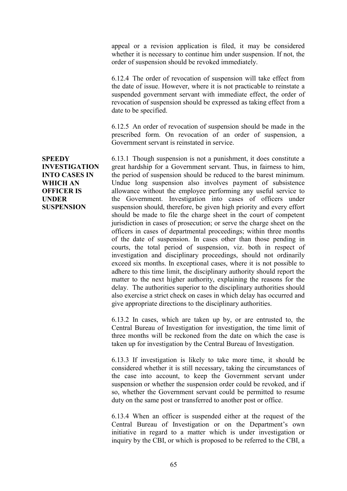appeal or a revision application is filed, it may be considered whether it is necessary to continue him under suspension. If not, the order of suspension should be revoked immediately.

6.12.4 The order of revocation of suspension will take effect from the date of issue. However, where it is not practicable to reinstate a suspended government servant with immediate effect, the order of revocation of suspension should be expressed as taking effect from a date to be specified.

6.12.5 An order of revocation of suspension should be made in the prescribed form. On revocation of an order of suspension, a Government servant is reinstated in service.

6.13.1 Though suspension is not a punishment, it does constitute a great hardship for a Government servant. Thus, in fairness to him, the period of suspension should be reduced to the barest minimum. Undue long suspension also involves payment of subsistence allowance without the employee performing any useful service to the Government. Investigation into cases of officers under suspension should, therefore, be given high priority and every effort should be made to file the charge sheet in the court of competent jurisdiction in cases of prosecution; or serve the charge sheet on the officers in cases of departmental proceedings; within three months of the date of suspension. In cases other than those pending in courts, the total period of suspension, viz. both in respect of investigation and disciplinary proceedings, should not ordinarily exceed six months. In exceptional cases, where it is not possible to adhere to this time limit, the disciplinary authority should report the matter to the next higher authority, explaining the reasons for the delay. The authorities superior to the disciplinary authorities should also exercise a strict check on cases in which delay has occurred and give appropriate directions to the disciplinary authorities.

6.13.2 In cases, which are taken up by, or are entrusted to, the Central Bureau of Investigation for investigation, the time limit of three months will be reckoned from the date on which the case is taken up for investigation by the Central Bureau of Investigation.

6.13.3 If investigation is likely to take more time, it should be considered whether it is still necessary, taking the circumstances of the case into account, to keep the Government servant under suspension or whether the suspension order could be revoked, and if so, whether the Government servant could be permitted to resume duty on the same post or transferred to another post or office.

6.13.4 When an officer is suspended either at the request of the Central Bureau of Investigation or on the Department's own initiative in regard to a matter which is under investigation or inquiry by the CBI, or which is proposed to be referred to the CBI, a

**SPEEDY INVESTIGATION INTO CASES IN WHICH AN OFFICER IS UNDER SUSPENSION**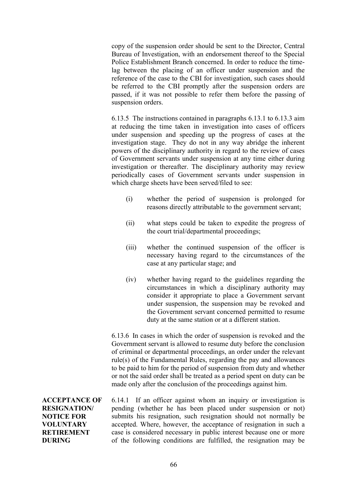copy of the suspension order should be sent to the Director, Central Bureau of Investigation, with an endorsement thereof to the Special Police Establishment Branch concerned. In order to reduce the timelag between the placing of an officer under suspension and the reference of the case to the CBI for investigation, such cases should be referred to the CBI promptly after the suspension orders are passed, if it was not possible to refer them before the passing of suspension orders.

6.13.5 The instructions contained in paragraphs 6.13.1 to 6.13.3 aim at reducing the time taken in investigation into cases of officers under suspension and speeding up the progress of cases at the investigation stage. They do not in any way abridge the inherent powers of the disciplinary authority in regard to the review of cases of Government servants under suspension at any time either during investigation or thereafter. The disciplinary authority may review periodically cases of Government servants under suspension in which charge sheets have been served/filed to see:

- (i) whether the period of suspension is prolonged for reasons directly attributable to the government servant;
- (ii) what steps could be taken to expedite the progress of the court trial/departmental proceedings;
- (iii) whether the continued suspension of the officer is necessary having regard to the circumstances of the case at any particular stage; and
- (iv) whether having regard to the guidelines regarding the circumstances in which a disciplinary authority may consider it appropriate to place a Government servant under suspension, the suspension may be revoked and the Government servant concerned permitted to resume duty at the same station or at a different station.

6.13.6 In cases in which the order of suspension is revoked and the Government servant is allowed to resume duty before the conclusion of criminal or departmental proceedings, an order under the relevant rule(s) of the Fundamental Rules, regarding the pay and allowances to be paid to him for the period of suspension from duty and whether or not the said order shall be treated as a period spent on duty can be made only after the conclusion of the proceedings against him.

**ACCEPTANCE OF RESIGNATION/ NOTICE FOR VOLUNTARY RETIREMENT DURING**

6.14.1 If an officer against whom an inquiry or investigation is pending (whether he has been placed under suspension or not) submits his resignation, such resignation should not normally be accepted. Where, however, the acceptance of resignation in such a case is considered necessary in public interest because one or more of the following conditions are fulfilled, the resignation may be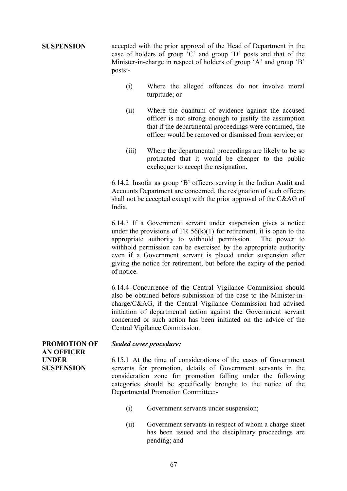**SUSPENSION** accepted with the prior approval of the Head of Department in the case of holders of group 'C' and group 'D' posts and that of the Minister-in-charge in respect of holders of group 'A' and group 'B' posts:-

- (i) Where the alleged offences do not involve moral turpitude; or
- (ii) Where the quantum of evidence against the accused officer is not strong enough to justify the assumption that if the departmental proceedings were continued, the officer would be removed or dismissed from service; or
- (iii) Where the departmental proceedings are likely to be so protracted that it would be cheaper to the public exchequer to accept the resignation.

6.14.2 Insofar as group 'B' officers serving in the Indian Audit and Accounts Department are concerned, the resignation of such officers shall not be accepted except with the prior approval of the C&AG of India.

6.14.3 If a Government servant under suspension gives a notice under the provisions of FR  $56(k)(1)$  for retirement, it is open to the appropriate authority to withhold permission. The power to withhold permission can be exercised by the appropriate authority even if a Government servant is placed under suspension after giving the notice for retirement, but before the expiry of the period of notice.

6.14.4 Concurrence of the Central Vigilance Commission should also be obtained before submission of the case to the Minister-incharge/C&AG, if the Central Vigilance Commission had advised initiation of departmental action against the Government servant concerned or such action has been initiated on the advice of the Central Vigilance Commission.

**PROMOTION OF AN OFFICER UNDER SUSPENSION**

## *Sealed cover procedure:*

6.15.1 At the time of considerations of the cases of Government servants for promotion, details of Government servants in the consideration zone for promotion falling under the following categories should be specifically brought to the notice of the Departmental Promotion Committee:-

- (i) Government servants under suspension;
- (ii) Government servants in respect of whom a charge sheet has been issued and the disciplinary proceedings are pending; and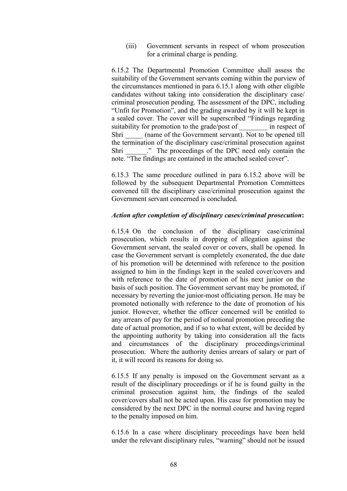(iii) Government servants in respect of whom prosecution for a criminal charge is pending.

6.15.2 The Departmental Promotion Committee shall assess the suitability of the Government servants coming within the purview of the circumstances mentioned in para 6.15.1 along with other eligible candidates without taking into consideration the disciplinary case/ criminal prosecution pending. The assessment of the DPC, including "Unfit for Promotion", and the grading awarded by it will be kept in a sealed cover. The cover will be superscribed "Findings regarding suitability for promotion to the grade/post of \_\_\_\_\_\_\_\_ in respect of Shri (name of the Government servant). Not to be opened till the termination of the disciplinary case/criminal prosecution against Shri <sup>2</sup>. The proceedings of the DPC need only contain the note. "The findings are contained in the attached sealed cover".

6.15.3 The same procedure outlined in para 6.15.2 above will be followed by the subsequent Departmental Promotion Committees convened till the disciplinary case/criminal prosecution against the Government servant concerned is concluded.

#### *Action after completion of disciplinary cases/criminal prosecution***:**

6.15.4 On the conclusion of the disciplinary case/criminal prosecution, which results in dropping of allegation against the Government servant, the sealed cover or covers, shall be opened. In case the Government servant is completely exonerated, the due date of his promotion will be determined with reference to the position assigned to him in the findings kept in the sealed cover/covers and with reference to the date of promotion of his next junior on the basis of such position. The Government servant may be promoted, if necessary by reverting the junior-most officiating person. He may be promoted notionally with reference to the date of promotion of his junior. However, whether the officer concerned will be entitled to any arrears of pay for the period of notional promotion preceding the date of actual promotion, and if so to what extent, will be decided by the appointing authority by taking into consideration all the facts and circumstances of the disciplinary proceedings/criminal prosecution. Where the authority denies arrears of salary or part of it, it will record its reasons for doing so.

6.15.5 If any penalty is imposed on the Government servant as a result of the disciplinary proceedings or if he is found guilty in the criminal prosecution against him, the findings of the sealed cover/covers shall not be acted upon. His case for promotion may be considered by the next DPC in the normal course and having regard to the penalty imposed on him.

6.15.6 In a case where disciplinary proceedings have been held under the relevant disciplinary rules, "warning" should not be issued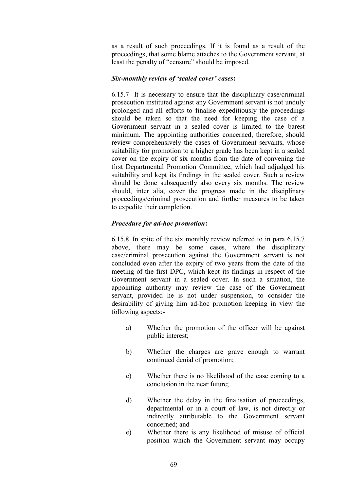as a result of such proceedings. If it is found as a result of the proceedings, that some blame attaches to the Government servant, at least the penalty of "censure" should be imposed.

## *Six-monthly review of 'sealed cover' cases***:**

6.15.7 It is necessary to ensure that the disciplinary case/criminal prosecution instituted against any Government servant is not unduly prolonged and all efforts to finalise expeditiously the proceedings should be taken so that the need for keeping the case of a Government servant in a sealed cover is limited to the barest minimum. The appointing authorities concerned, therefore, should review comprehensively the cases of Government servants, whose suitability for promotion to a higher grade has been kept in a sealed cover on the expiry of six months from the date of convening the first Departmental Promotion Committee, which had adjudged his suitability and kept its findings in the sealed cover. Such a review should be done subsequently also every six months. The review should, inter alia, cover the progress made in the disciplinary proceedings/criminal prosecution and further measures to be taken to expedite their completion.

# *Procedure for ad-hoc promotion***:**

6.15.8 In spite of the six monthly review referred to in para 6.15.7 above, there may be some cases, where the disciplinary case/criminal prosecution against the Government servant is not concluded even after the expiry of two years from the date of the meeting of the first DPC, which kept its findings in respect of the Government servant in a sealed cover. In such a situation, the appointing authority may review the case of the Government servant, provided he is not under suspension, to consider the desirability of giving him ad-hoc promotion keeping in view the following aspects:-

- a) Whether the promotion of the officer will be against public interest;
- b) Whether the charges are grave enough to warrant continued denial of promotion;
- c) Whether there is no likelihood of the case coming to a conclusion in the near future;
- d) Whether the delay in the finalisation of proceedings, departmental or in a court of law, is not directly or indirectly attributable to the Government servant concerned; and
- e) Whether there is any likelihood of misuse of official position which the Government servant may occupy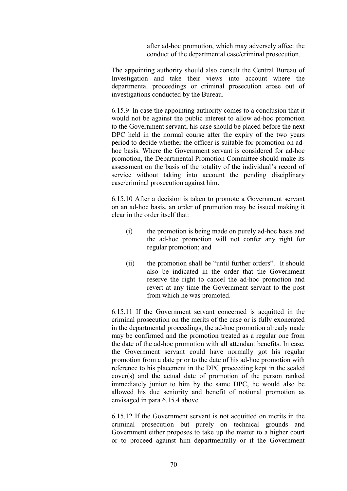after ad-hoc promotion, which may adversely affect the conduct of the departmental case/criminal prosecution.

The appointing authority should also consult the Central Bureau of Investigation and take their views into account where the departmental proceedings or criminal prosecution arose out of investigations conducted by the Bureau.

6.15.9 In case the appointing authority comes to a conclusion that it would not be against the public interest to allow ad-hoc promotion to the Government servant, his case should be placed before the next DPC held in the normal course after the expiry of the two years period to decide whether the officer is suitable for promotion on adhoc basis. Where the Government servant is considered for ad-hoc promotion, the Departmental Promotion Committee should make its assessment on the basis of the totality of the individual's record of service without taking into account the pending disciplinary case/criminal prosecution against him.

6.15.10 After a decision is taken to promote a Government servant on an ad-hoc basis, an order of promotion may be issued making it clear in the order itself that:

- (i) the promotion is being made on purely ad-hoc basis and the ad-hoc promotion will not confer any right for regular promotion; and
- (ii) the promotion shall be "until further orders". It should also be indicated in the order that the Government reserve the right to cancel the ad-hoc promotion and revert at any time the Government servant to the post from which he was promoted.

6.15.11 If the Government servant concerned is acquitted in the criminal prosecution on the merits of the case or is fully exonerated in the departmental proceedings, the ad-hoc promotion already made may be confirmed and the promotion treated as a regular one from the date of the ad-hoc promotion with all attendant benefits. In case, the Government servant could have normally got his regular promotion from a date prior to the date of his ad-hoc promotion with reference to his placement in the DPC proceeding kept in the sealed cover(s) and the actual date of promotion of the person ranked immediately junior to him by the same DPC, he would also be allowed his due seniority and benefit of notional promotion as envisaged in para 6.15.4 above.

6.15.12 If the Government servant is not acquitted on merits in the criminal prosecution but purely on technical grounds and Government either proposes to take up the matter to a higher court or to proceed against him departmentally or if the Government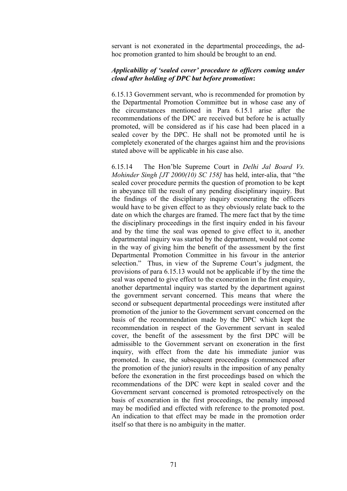servant is not exonerated in the departmental proceedings, the adhoc promotion granted to him should be brought to an end.

#### *Applicability of 'sealed cover' procedure to officers coming under cloud after holding of DPC but before promotion***:**

6.15.13 Government servant, who is recommended for promotion by the Departmental Promotion Committee but in whose case any of the circumstances mentioned in Para 6.15.1 arise after the recommendations of the DPC are received but before he is actually promoted, will be considered as if his case had been placed in a sealed cover by the DPC. He shall not be promoted until he is completely exonerated of the charges against him and the provisions stated above will be applicable in his case also.

6.15.14 The Hon'ble Supreme Court in *Delhi Jal Board Vs. Mohinder Singh [JT 2000(10) SC 158]* has held, inter-alia, that "the sealed cover procedure permits the question of promotion to be kept in abeyance till the result of any pending disciplinary inquiry. But the findings of the disciplinary inquiry exonerating the officers would have to be given effect to as they obviously relate back to the date on which the charges are framed. The mere fact that by the time the disciplinary proceedings in the first inquiry ended in his favour and by the time the seal was opened to give effect to it, another departmental inquiry was started by the department, would not come in the way of giving him the benefit of the assessment by the first Departmental Promotion Committee in his favour in the anterior selection." Thus, in view of the Supreme Court's judgment, the provisions of para 6.15.13 would not be applicable if by the time the seal was opened to give effect to the exoneration in the first enquiry, another departmental inquiry was started by the department against the government servant concerned. This means that where the second or subsequent departmental proceedings were instituted after promotion of the junior to the Government servant concerned on the basis of the recommendation made by the DPC which kept the recommendation in respect of the Government servant in sealed cover, the benefit of the assessment by the first DPC will be admissible to the Government servant on exoneration in the first inquiry, with effect from the date his immediate junior was promoted. In case, the subsequent proceedings (commenced after the promotion of the junior) results in the imposition of any penalty before the exoneration in the first proceedings based on which the recommendations of the DPC were kept in sealed cover and the Government servant concerned is promoted retrospectively on the basis of exoneration in the first proceedings, the penalty imposed may be modified and effected with reference to the promoted post. An indication to that effect may be made in the promotion order itself so that there is no ambiguity in the matter.